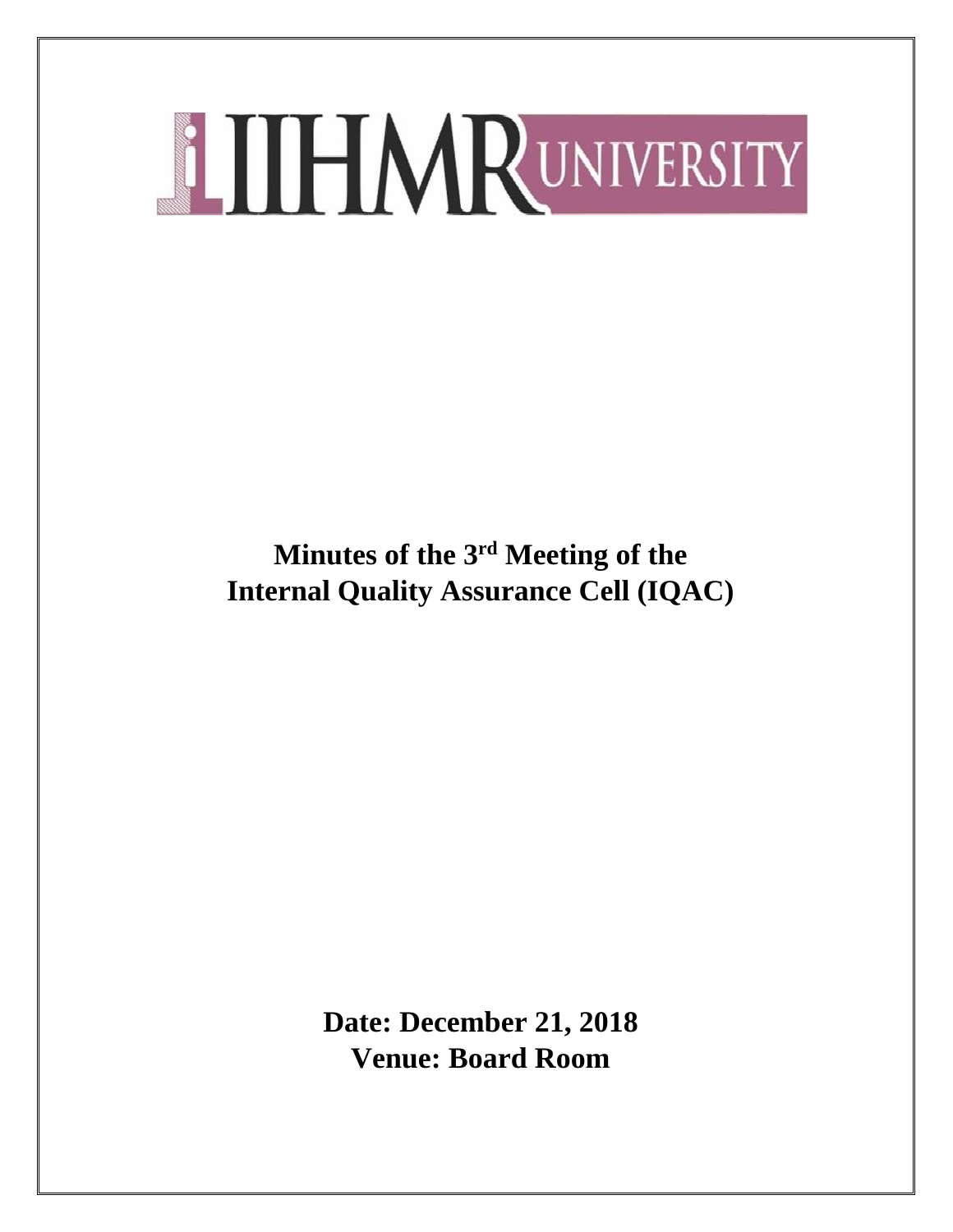**Minutes of the 3rd Meeting of the Internal Quality Assurance Cell (IQAC)**

> **Date: December 21, 2018 Venue: Board Room**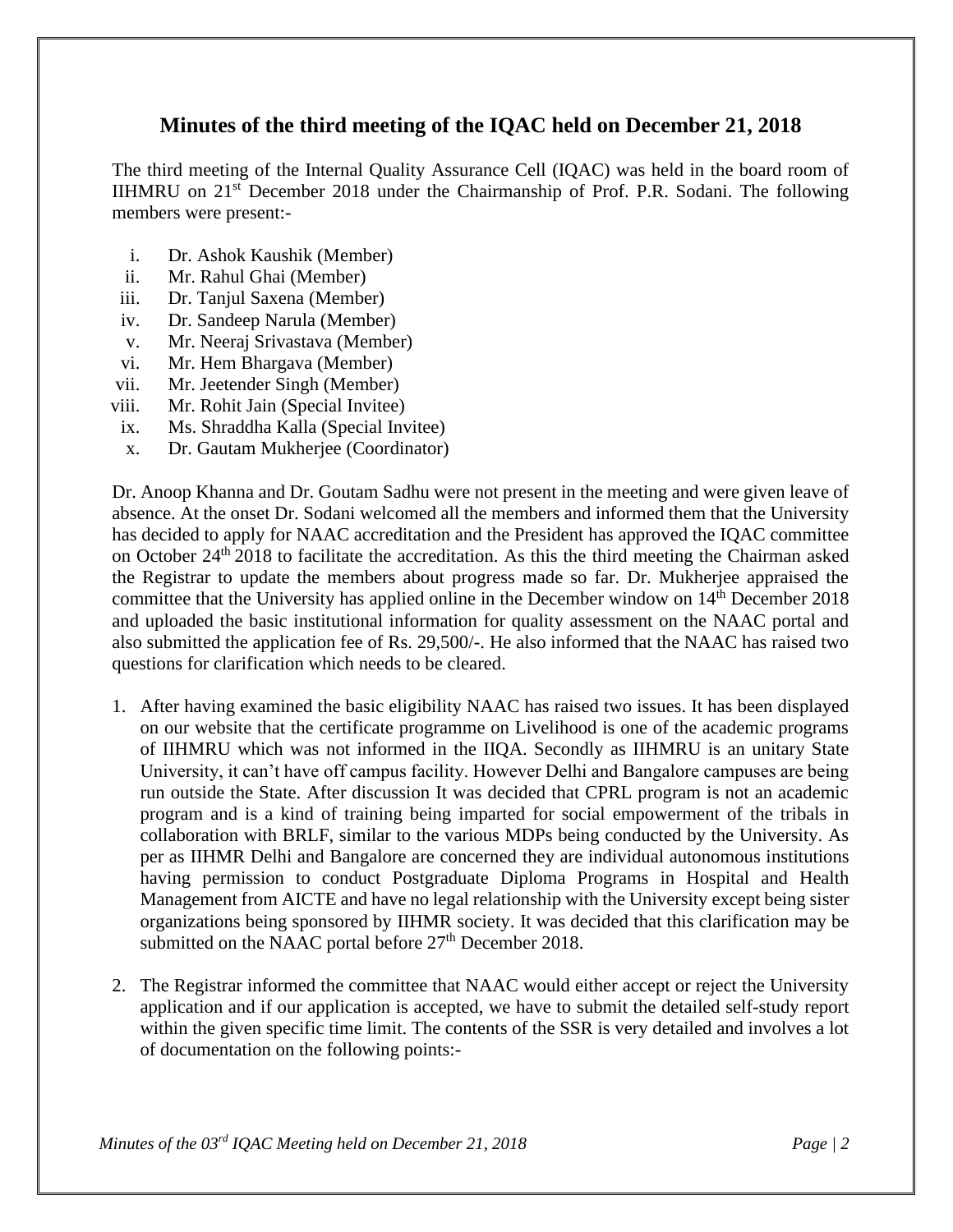# **Minutes of the third meeting of the IQAC held on December 21, 2018**

The third meeting of the Internal Quality Assurance Cell (IQAC) was held in the board room of IIHMRU on 21st December 2018 under the Chairmanship of Prof. P.R. Sodani. The following members were present:-

- i. Dr. Ashok Kaushik (Member)
- ii. Mr. Rahul Ghai (Member)
- iii. Dr. Tanjul Saxena (Member)
- iv. Dr. Sandeep Narula (Member)
- v. Mr. Neeraj Srivastava (Member)
- vi. Mr. Hem Bhargava (Member)
- vii. Mr. Jeetender Singh (Member)
- viii. Mr. Rohit Jain (Special Invitee)
- ix. Ms. Shraddha Kalla (Special Invitee)
- x. Dr. Gautam Mukherjee (Coordinator)

Dr. Anoop Khanna and Dr. Goutam Sadhu were not present in the meeting and were given leave of absence. At the onset Dr. Sodani welcomed all the members and informed them that the University has decided to apply for NAAC accreditation and the President has approved the IQAC committee on October 24th 2018 to facilitate the accreditation. As this the third meeting the Chairman asked the Registrar to update the members about progress made so far. Dr. Mukherjee appraised the committee that the University has applied online in the December window on  $14<sup>th</sup>$  December 2018 and uploaded the basic institutional information for quality assessment on the NAAC portal and also submitted the application fee of Rs. 29,500/-. He also informed that the NAAC has raised two questions for clarification which needs to be cleared.

- 1. After having examined the basic eligibility NAAC has raised two issues. It has been displayed on our website that the certificate programme on Livelihood is one of the academic programs of IIHMRU which was not informed in the IIQA. Secondly as IIHMRU is an unitary State University, it can't have off campus facility. However Delhi and Bangalore campuses are being run outside the State. After discussion It was decided that CPRL program is not an academic program and is a kind of training being imparted for social empowerment of the tribals in collaboration with BRLF, similar to the various MDPs being conducted by the University. As per as IIHMR Delhi and Bangalore are concerned they are individual autonomous institutions having permission to conduct Postgraduate Diploma Programs in Hospital and Health Management from AICTE and have no legal relationship with the University except being sister organizations being sponsored by IIHMR society. It was decided that this clarification may be submitted on the NAAC portal before  $27<sup>th</sup>$  December 2018.
- 2. The Registrar informed the committee that NAAC would either accept or reject the University application and if our application is accepted, we have to submit the detailed self-study report within the given specific time limit. The contents of the SSR is very detailed and involves a lot of documentation on the following points:-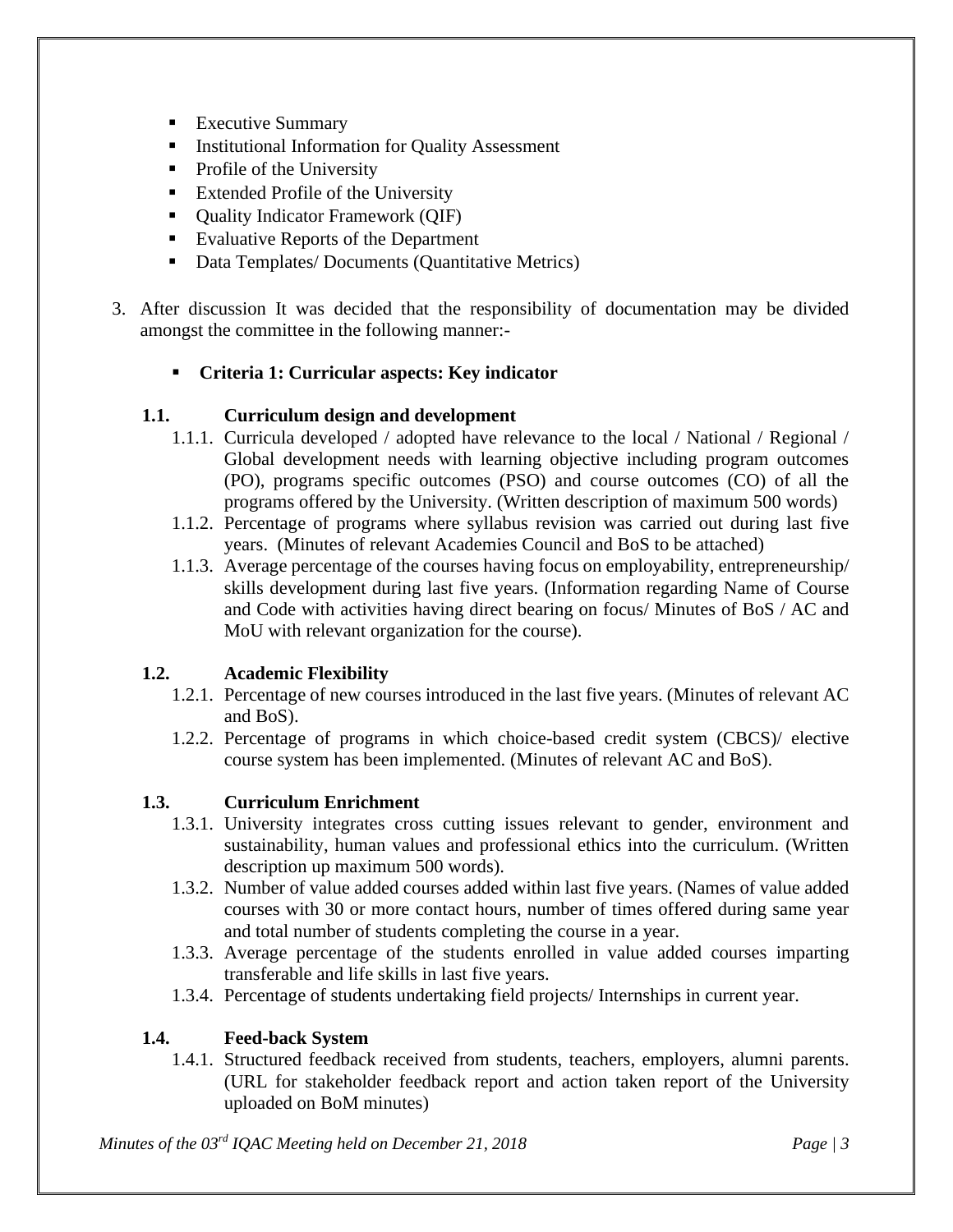- **Executive Summary**
- **■** Institutional Information for Quality Assessment
- Profile of the University
- **Extended Profile of the University**
- Ouality Indicator Framework (OIF)
- Evaluative Reports of the Department
- Data Templates/ Documents (Quantitative Metrics)
- 3. After discussion It was decided that the responsibility of documentation may be divided amongst the committee in the following manner:-

## ▪ **Criteria 1: Curricular aspects: Key indicator**

### **1.1. Curriculum design and development**

- 1.1.1. Curricula developed / adopted have relevance to the local / National / Regional / Global development needs with learning objective including program outcomes (PO), programs specific outcomes (PSO) and course outcomes (CO) of all the programs offered by the University. (Written description of maximum 500 words)
- 1.1.2. Percentage of programs where syllabus revision was carried out during last five years. (Minutes of relevant Academies Council and BoS to be attached)
- 1.1.3. Average percentage of the courses having focus on employability, entrepreneurship/ skills development during last five years. (Information regarding Name of Course and Code with activities having direct bearing on focus/ Minutes of BoS / AC and MoU with relevant organization for the course).

### **1.2. Academic Flexibility**

- 1.2.1. Percentage of new courses introduced in the last five years. (Minutes of relevant AC and BoS).
- 1.2.2. Percentage of programs in which choice-based credit system (CBCS)/ elective course system has been implemented. (Minutes of relevant AC and BoS).

### **1.3. Curriculum Enrichment**

- 1.3.1. University integrates cross cutting issues relevant to gender, environment and sustainability, human values and professional ethics into the curriculum. (Written description up maximum 500 words).
- 1.3.2. Number of value added courses added within last five years. (Names of value added courses with 30 or more contact hours, number of times offered during same year and total number of students completing the course in a year.
- 1.3.3. Average percentage of the students enrolled in value added courses imparting transferable and life skills in last five years.
- 1.3.4. Percentage of students undertaking field projects/ Internships in current year.

# **1.4. Feed-back System**

1.4.1. Structured feedback received from students, teachers, employers, alumni parents. (URL for stakeholder feedback report and action taken report of the University uploaded on BoM minutes)

*Minutes of the 03rd IQAC Meeting held on December 21, 2018 Page | 3*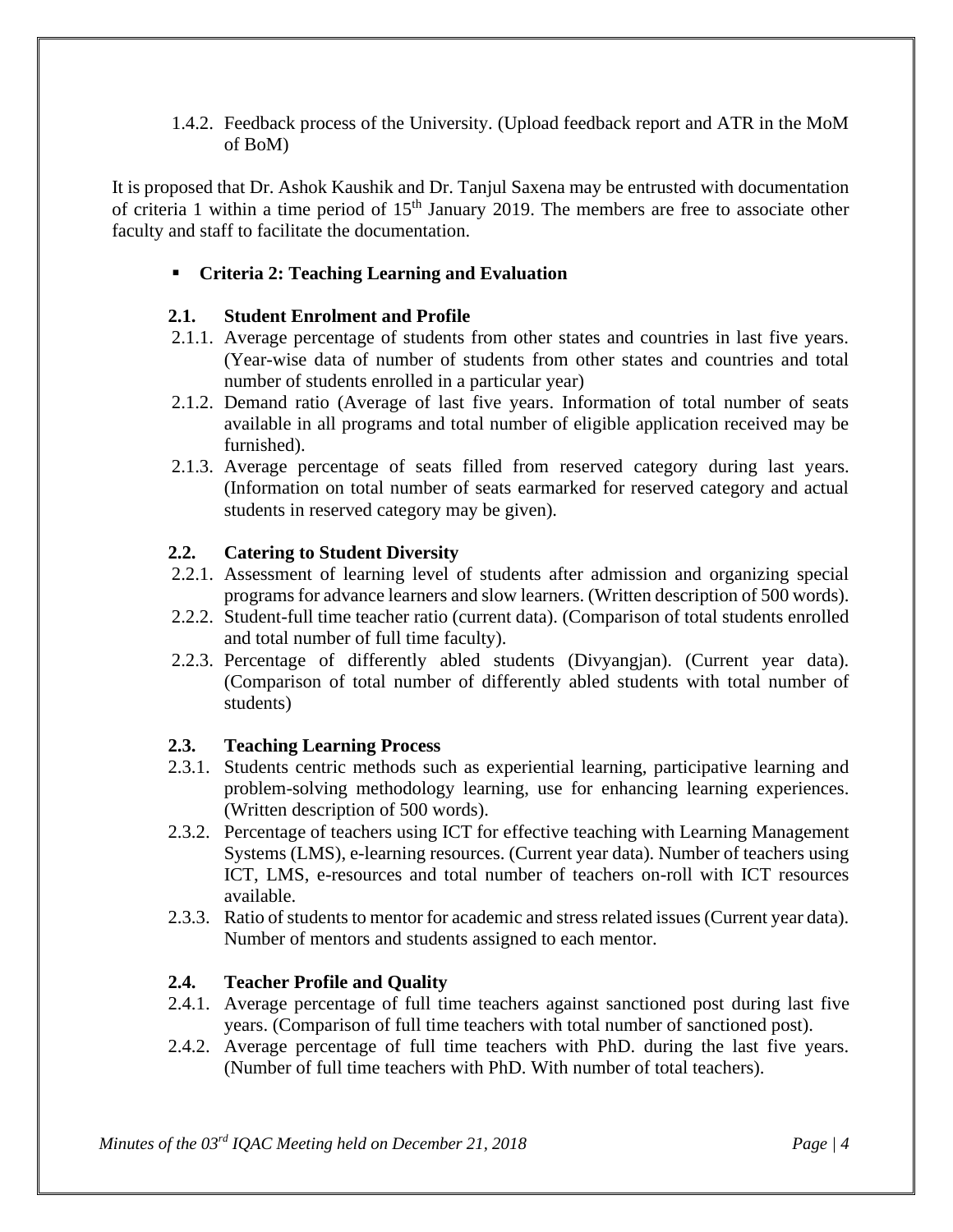1.4.2. Feedback process of the University. (Upload feedback report and ATR in the MoM of BoM)

It is proposed that Dr. Ashok Kaushik and Dr. Tanjul Saxena may be entrusted with documentation of criteria 1 within a time period of 15<sup>th</sup> January 2019. The members are free to associate other faculty and staff to facilitate the documentation.

### ▪ **Criteria 2: Teaching Learning and Evaluation**

### **2.1. Student Enrolment and Profile**

- 2.1.1. Average percentage of students from other states and countries in last five years. (Year-wise data of number of students from other states and countries and total number of students enrolled in a particular year)
- 2.1.2. Demand ratio (Average of last five years. Information of total number of seats available in all programs and total number of eligible application received may be furnished).
- 2.1.3. Average percentage of seats filled from reserved category during last years. (Information on total number of seats earmarked for reserved category and actual students in reserved category may be given).

#### **2.2. Catering to Student Diversity**

- 2.2.1. Assessment of learning level of students after admission and organizing special programs for advance learners and slow learners. (Written description of 500 words).
- 2.2.2. Student-full time teacher ratio (current data). (Comparison of total students enrolled and total number of full time faculty).
- 2.2.3. Percentage of differently abled students (Divyangjan). (Current year data). (Comparison of total number of differently abled students with total number of students)

#### **2.3. Teaching Learning Process**

- 2.3.1. Students centric methods such as experiential learning, participative learning and problem-solving methodology learning, use for enhancing learning experiences. (Written description of 500 words).
- 2.3.2. Percentage of teachers using ICT for effective teaching with Learning Management Systems (LMS), e-learning resources. (Current year data). Number of teachers using ICT, LMS, e-resources and total number of teachers on-roll with ICT resources available.
- 2.3.3. Ratio of students to mentor for academic and stress related issues (Current year data). Number of mentors and students assigned to each mentor.

### **2.4. Teacher Profile and Quality**

- 2.4.1. Average percentage of full time teachers against sanctioned post during last five years. (Comparison of full time teachers with total number of sanctioned post).
- 2.4.2. Average percentage of full time teachers with PhD. during the last five years. (Number of full time teachers with PhD. With number of total teachers).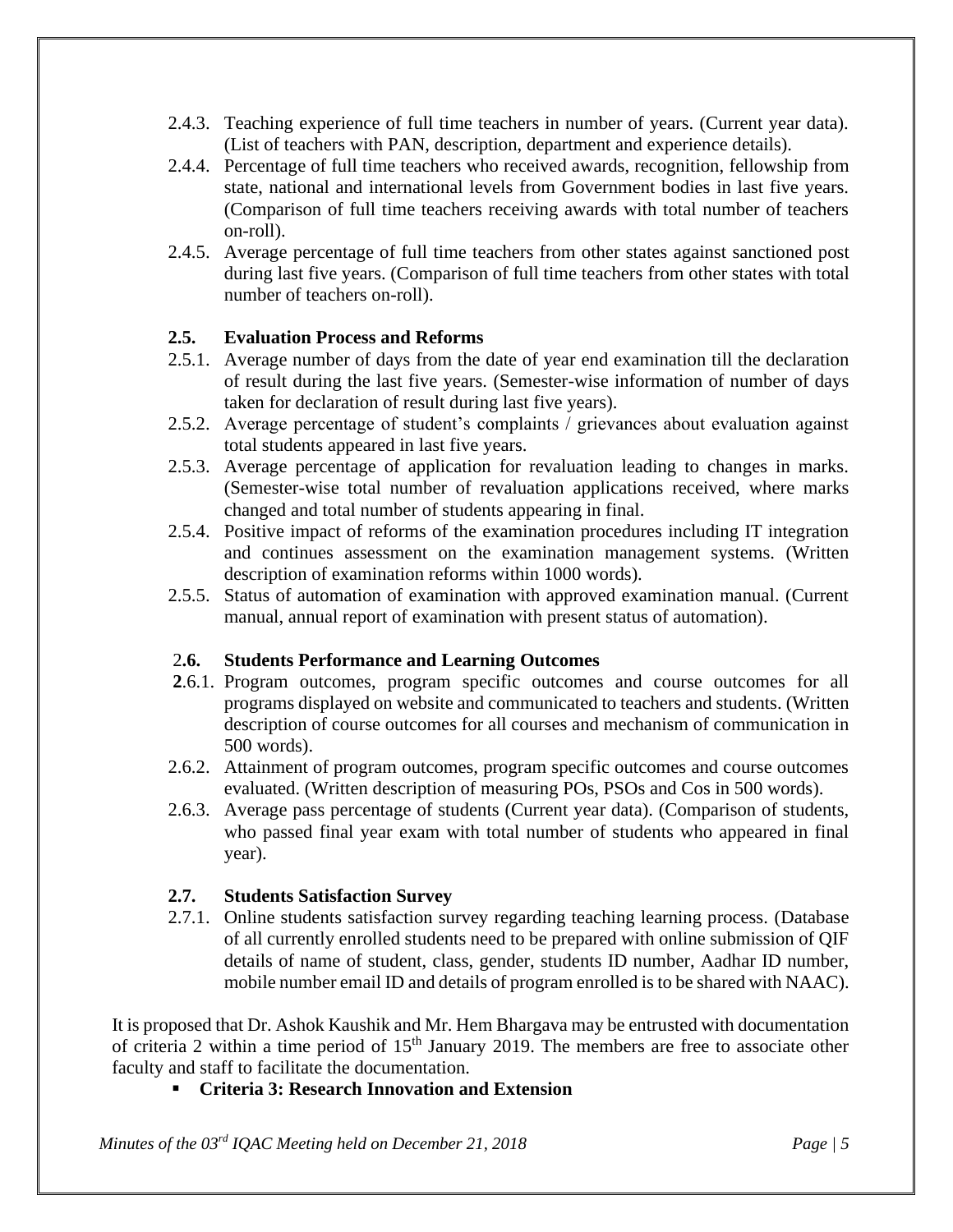- 2.4.3. Teaching experience of full time teachers in number of years. (Current year data). (List of teachers with PAN, description, department and experience details).
- 2.4.4. Percentage of full time teachers who received awards, recognition, fellowship from state, national and international levels from Government bodies in last five years. (Comparison of full time teachers receiving awards with total number of teachers on-roll).
- 2.4.5. Average percentage of full time teachers from other states against sanctioned post during last five years. (Comparison of full time teachers from other states with total number of teachers on-roll).

### **2.5. Evaluation Process and Reforms**

- 2.5.1. Average number of days from the date of year end examination till the declaration of result during the last five years. (Semester-wise information of number of days taken for declaration of result during last five years).
- 2.5.2. Average percentage of student's complaints / grievances about evaluation against total students appeared in last five years.
- 2.5.3. Average percentage of application for revaluation leading to changes in marks. (Semester-wise total number of revaluation applications received, where marks changed and total number of students appearing in final.
- 2.5.4. Positive impact of reforms of the examination procedures including IT integration and continues assessment on the examination management systems. (Written description of examination reforms within 1000 words).
- 2.5.5. Status of automation of examination with approved examination manual. (Current manual, annual report of examination with present status of automation).

#### 2**.6. Students Performance and Learning Outcomes**

- **2**.6.1. Program outcomes, program specific outcomes and course outcomes for all programs displayed on website and communicated to teachers and students. (Written description of course outcomes for all courses and mechanism of communication in 500 words).
- 2.6.2. Attainment of program outcomes, program specific outcomes and course outcomes evaluated. (Written description of measuring POs, PSOs and Cos in 500 words).
- 2.6.3. Average pass percentage of students (Current year data). (Comparison of students, who passed final year exam with total number of students who appeared in final year).

#### **2.7. Students Satisfaction Survey**

2.7.1. Online students satisfaction survey regarding teaching learning process. (Database of all currently enrolled students need to be prepared with online submission of QIF details of name of student, class, gender, students ID number, Aadhar ID number, mobile number email ID and details of program enrolled is to be shared with NAAC).

It is proposed that Dr. Ashok Kaushik and Mr. Hem Bhargava may be entrusted with documentation of criteria 2 within a time period of 15<sup>th</sup> January 2019. The members are free to associate other faculty and staff to facilitate the documentation.

### **Criteria 3: Research Innovation and Extension**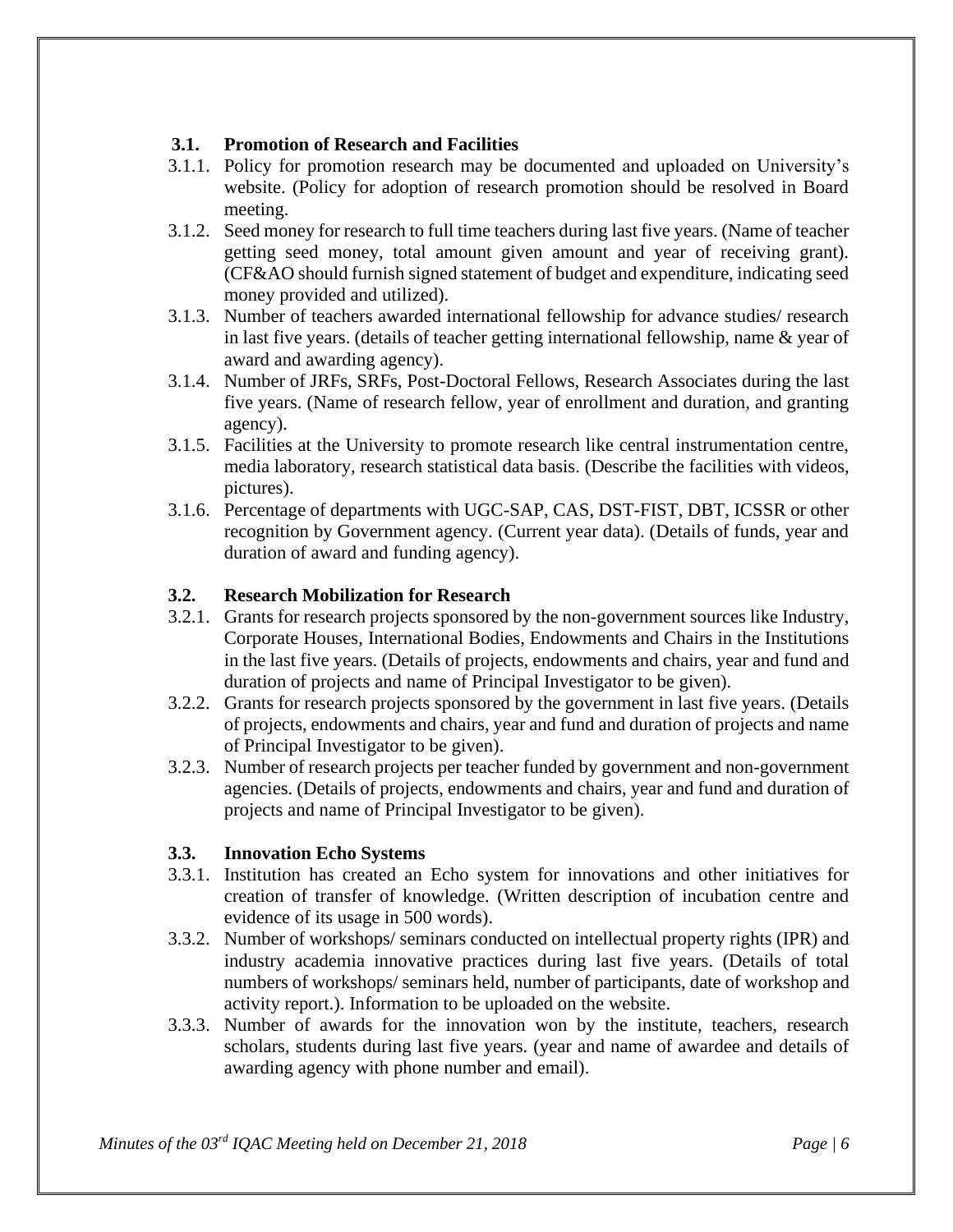### **3.1. Promotion of Research and Facilities**

- 3.1.1. Policy for promotion research may be documented and uploaded on University's website. (Policy for adoption of research promotion should be resolved in Board meeting.
- 3.1.2. Seed money for research to full time teachers during last five years. (Name of teacher getting seed money, total amount given amount and year of receiving grant). (CF&AO should furnish signed statement of budget and expenditure, indicating seed money provided and utilized).
- 3.1.3. Number of teachers awarded international fellowship for advance studies/ research in last five years. (details of teacher getting international fellowship, name & year of award and awarding agency).
- 3.1.4. Number of JRFs, SRFs, Post-Doctoral Fellows, Research Associates during the last five years. (Name of research fellow, year of enrollment and duration, and granting agency).
- 3.1.5. Facilities at the University to promote research like central instrumentation centre, media laboratory, research statistical data basis. (Describe the facilities with videos, pictures).
- 3.1.6. Percentage of departments with UGC-SAP, CAS, DST-FIST, DBT, ICSSR or other recognition by Government agency. (Current year data). (Details of funds, year and duration of award and funding agency).

## **3.2. Research Mobilization for Research**

- 3.2.1. Grants for research projects sponsored by the non-government sources like Industry, Corporate Houses, International Bodies, Endowments and Chairs in the Institutions in the last five years. (Details of projects, endowments and chairs, year and fund and duration of projects and name of Principal Investigator to be given).
- 3.2.2. Grants for research projects sponsored by the government in last five years. (Details of projects, endowments and chairs, year and fund and duration of projects and name of Principal Investigator to be given).
- 3.2.3. Number of research projects per teacher funded by government and non-government agencies. (Details of projects, endowments and chairs, year and fund and duration of projects and name of Principal Investigator to be given).

### **3.3. Innovation Echo Systems**

- 3.3.1. Institution has created an Echo system for innovations and other initiatives for creation of transfer of knowledge. (Written description of incubation centre and evidence of its usage in 500 words).
- 3.3.2. Number of workshops/ seminars conducted on intellectual property rights (IPR) and industry academia innovative practices during last five years. (Details of total numbers of workshops/ seminars held, number of participants, date of workshop and activity report.). Information to be uploaded on the website.
- 3.3.3. Number of awards for the innovation won by the institute, teachers, research scholars, students during last five years. (year and name of awardee and details of awarding agency with phone number and email).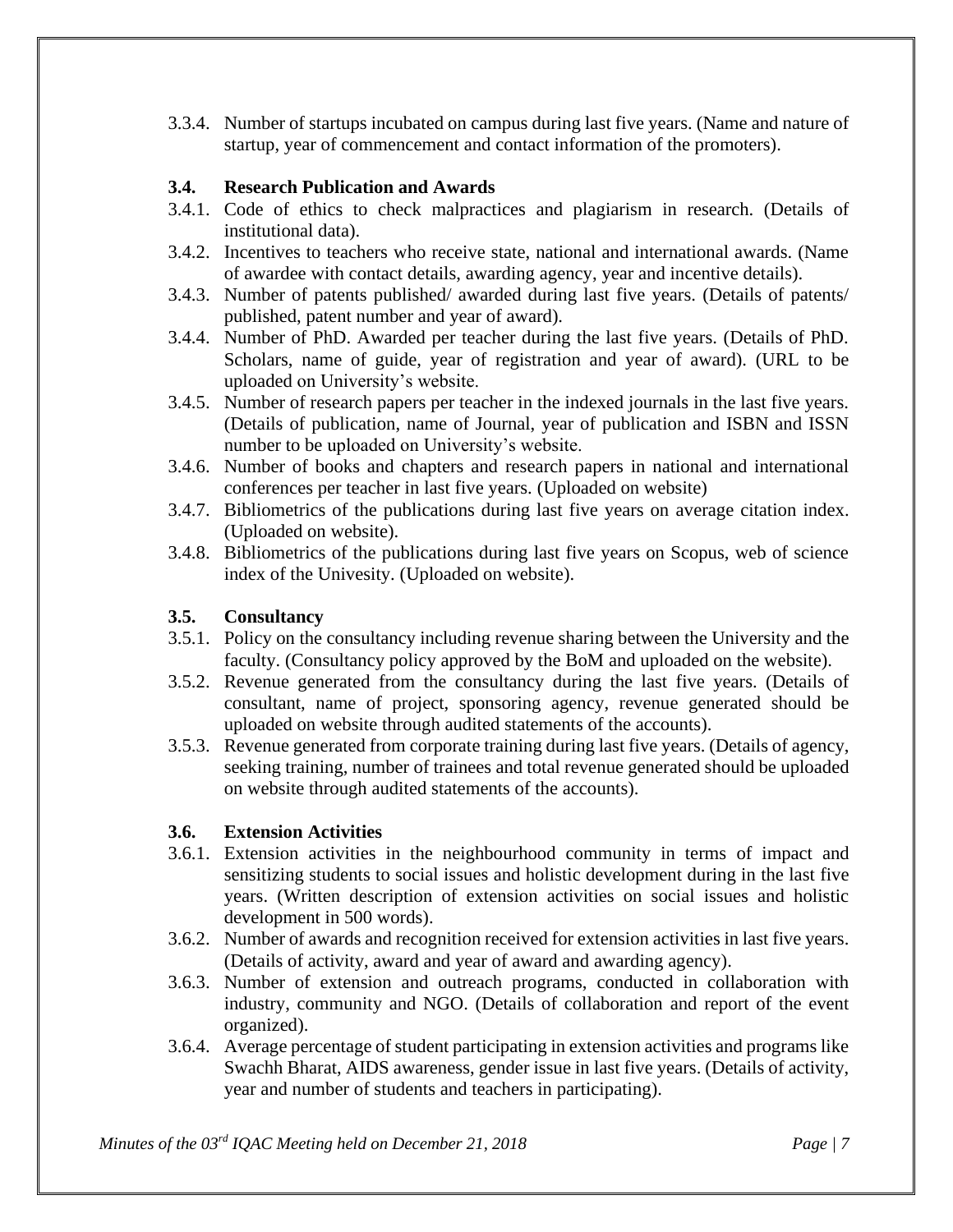3.3.4. Number of startups incubated on campus during last five years. (Name and nature of startup, year of commencement and contact information of the promoters).

### **3.4. Research Publication and Awards**

- 3.4.1. Code of ethics to check malpractices and plagiarism in research. (Details of institutional data).
- 3.4.2. Incentives to teachers who receive state, national and international awards. (Name of awardee with contact details, awarding agency, year and incentive details).
- 3.4.3. Number of patents published/ awarded during last five years. (Details of patents/ published, patent number and year of award).
- 3.4.4. Number of PhD. Awarded per teacher during the last five years. (Details of PhD. Scholars, name of guide, year of registration and year of award). (URL to be uploaded on University's website.
- 3.4.5. Number of research papers per teacher in the indexed journals in the last five years. (Details of publication, name of Journal, year of publication and ISBN and ISSN number to be uploaded on University's website.
- 3.4.6. Number of books and chapters and research papers in national and international conferences per teacher in last five years. (Uploaded on website)
- 3.4.7. Bibliometrics of the publications during last five years on average citation index. (Uploaded on website).
- 3.4.8. Bibliometrics of the publications during last five years on Scopus, web of science index of the Univesity. (Uploaded on website).

## **3.5. Consultancy**

- 3.5.1. Policy on the consultancy including revenue sharing between the University and the faculty. (Consultancy policy approved by the BoM and uploaded on the website).
- 3.5.2. Revenue generated from the consultancy during the last five years. (Details of consultant, name of project, sponsoring agency, revenue generated should be uploaded on website through audited statements of the accounts).
- 3.5.3. Revenue generated from corporate training during last five years. (Details of agency, seeking training, number of trainees and total revenue generated should be uploaded on website through audited statements of the accounts).

# **3.6. Extension Activities**

- 3.6.1. Extension activities in the neighbourhood community in terms of impact and sensitizing students to social issues and holistic development during in the last five years. (Written description of extension activities on social issues and holistic development in 500 words).
- 3.6.2. Number of awards and recognition received for extension activities in last five years. (Details of activity, award and year of award and awarding agency).
- 3.6.3. Number of extension and outreach programs, conducted in collaboration with industry, community and NGO. (Details of collaboration and report of the event organized).
- 3.6.4. Average percentage of student participating in extension activities and programs like Swachh Bharat, AIDS awareness, gender issue in last five years. (Details of activity, year and number of students and teachers in participating).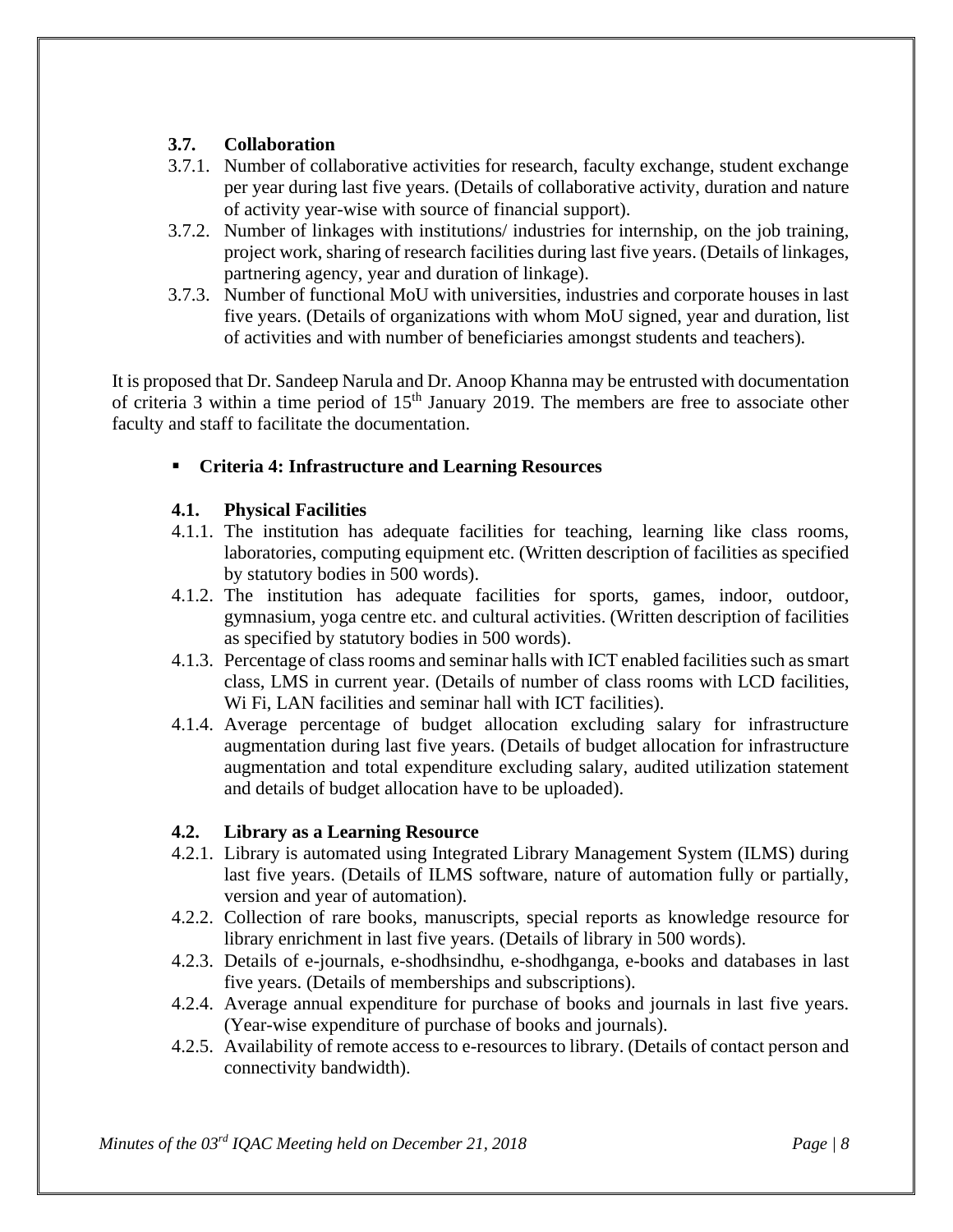### **3.7. Collaboration**

- 3.7.1. Number of collaborative activities for research, faculty exchange, student exchange per year during last five years. (Details of collaborative activity, duration and nature of activity year-wise with source of financial support).
- 3.7.2. Number of linkages with institutions/ industries for internship, on the job training, project work, sharing of research facilities during last five years. (Details of linkages, partnering agency, year and duration of linkage).
- 3.7.3. Number of functional MoU with universities, industries and corporate houses in last five years. (Details of organizations with whom MoU signed, year and duration, list of activities and with number of beneficiaries amongst students and teachers).

It is proposed that Dr. Sandeep Narula and Dr. Anoop Khanna may be entrusted with documentation of criteria 3 within a time period of  $15<sup>th</sup>$  January 2019. The members are free to associate other faculty and staff to facilitate the documentation.

## ▪ **Criteria 4: Infrastructure and Learning Resources**

### **4.1. Physical Facilities**

- 4.1.1. The institution has adequate facilities for teaching, learning like class rooms, laboratories, computing equipment etc. (Written description of facilities as specified by statutory bodies in 500 words).
- 4.1.2. The institution has adequate facilities for sports, games, indoor, outdoor, gymnasium, yoga centre etc. and cultural activities. (Written description of facilities as specified by statutory bodies in 500 words).
- 4.1.3. Percentage of class rooms and seminar halls with ICT enabled facilities such as smart class, LMS in current year. (Details of number of class rooms with LCD facilities, W<sub>i</sub> F<sub>i</sub>. LAN facilities and seminar hall with ICT facilities).
- 4.1.4. Average percentage of budget allocation excluding salary for infrastructure augmentation during last five years. (Details of budget allocation for infrastructure augmentation and total expenditure excluding salary, audited utilization statement and details of budget allocation have to be uploaded).

### **4.2. Library as a Learning Resource**

- 4.2.1. Library is automated using Integrated Library Management System (ILMS) during last five years. (Details of ILMS software, nature of automation fully or partially, version and year of automation).
- 4.2.2. Collection of rare books, manuscripts, special reports as knowledge resource for library enrichment in last five years. (Details of library in 500 words).
- 4.2.3. Details of e-journals, e-shodhsindhu, e-shodhganga, e-books and databases in last five years. (Details of memberships and subscriptions).
- 4.2.4. Average annual expenditure for purchase of books and journals in last five years. (Year-wise expenditure of purchase of books and journals).
- 4.2.5. Availability of remote access to e-resources to library. (Details of contact person and connectivity bandwidth).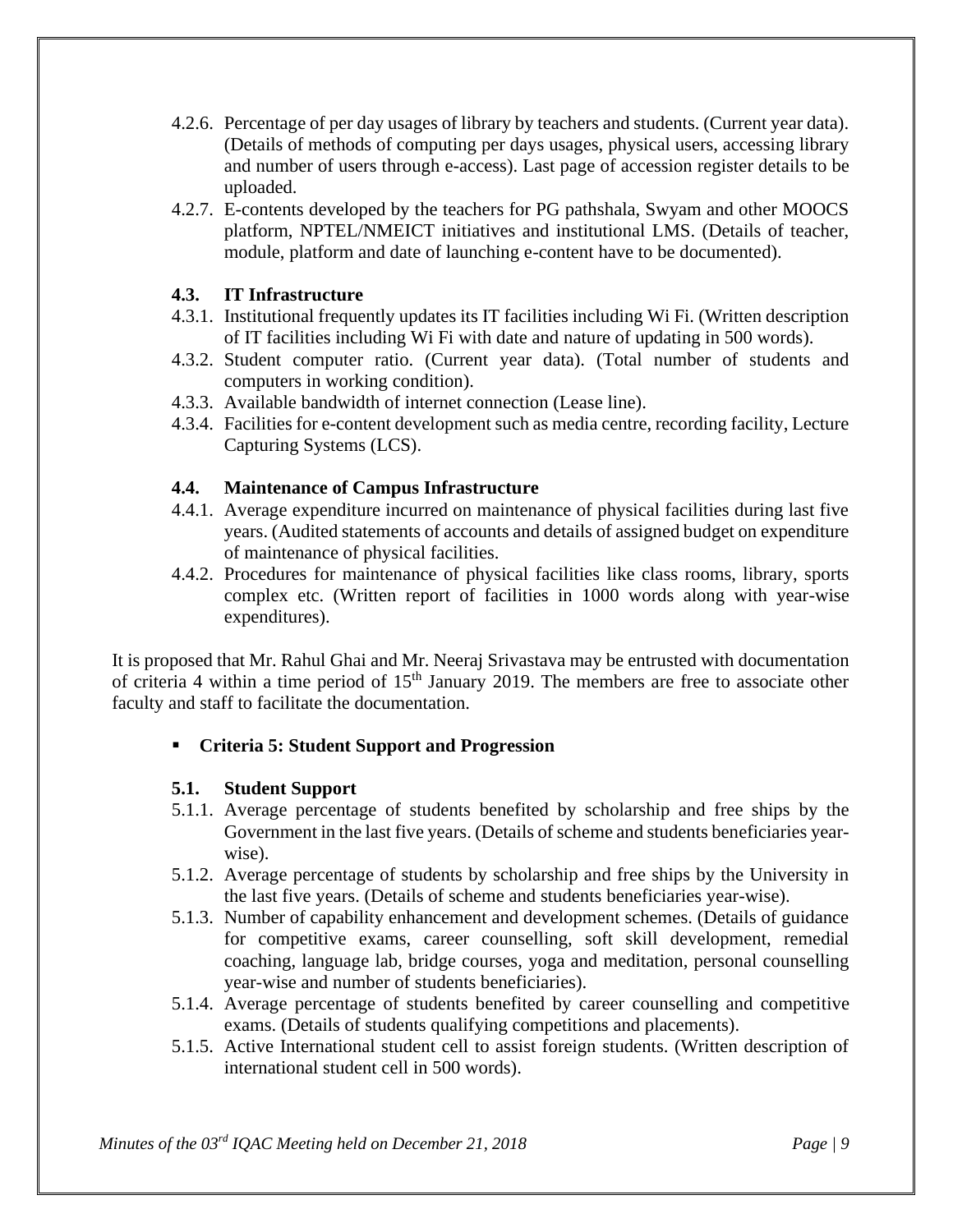- 4.2.6. Percentage of per day usages of library by teachers and students. (Current year data). (Details of methods of computing per days usages, physical users, accessing library and number of users through e-access). Last page of accession register details to be uploaded.
- 4.2.7. E-contents developed by the teachers for PG pathshala, Swyam and other MOOCS platform, NPTEL/NMEICT initiatives and institutional LMS. (Details of teacher, module, platform and date of launching e-content have to be documented).

#### **4.3. IT Infrastructure**

- 4.3.1. Institutional frequently updates its IT facilities including Wi Fi. (Written description of IT facilities including Wi Fi with date and nature of updating in 500 words).
- 4.3.2. Student computer ratio. (Current year data). (Total number of students and computers in working condition).
- 4.3.3. Available bandwidth of internet connection (Lease line).
- 4.3.4. Facilities for e-content development such as media centre, recording facility, Lecture Capturing Systems (LCS).

#### **4.4. Maintenance of Campus Infrastructure**

- 4.4.1. Average expenditure incurred on maintenance of physical facilities during last five years. (Audited statements of accounts and details of assigned budget on expenditure of maintenance of physical facilities.
- 4.4.2. Procedures for maintenance of physical facilities like class rooms, library, sports complex etc. (Written report of facilities in 1000 words along with year-wise expenditures).

It is proposed that Mr. Rahul Ghai and Mr. Neeraj Srivastava may be entrusted with documentation of criteria 4 within a time period of 15<sup>th</sup> January 2019. The members are free to associate other faculty and staff to facilitate the documentation.

#### ▪ **Criteria 5: Student Support and Progression**

#### **5.1. Student Support**

- 5.1.1. Average percentage of students benefited by scholarship and free ships by the Government in the last five years. (Details of scheme and students beneficiaries yearwise).
- 5.1.2. Average percentage of students by scholarship and free ships by the University in the last five years. (Details of scheme and students beneficiaries year-wise).
- 5.1.3. Number of capability enhancement and development schemes. (Details of guidance for competitive exams, career counselling, soft skill development, remedial coaching, language lab, bridge courses, yoga and meditation, personal counselling year-wise and number of students beneficiaries).
- 5.1.4. Average percentage of students benefited by career counselling and competitive exams. (Details of students qualifying competitions and placements).
- 5.1.5. Active International student cell to assist foreign students. (Written description of international student cell in 500 words).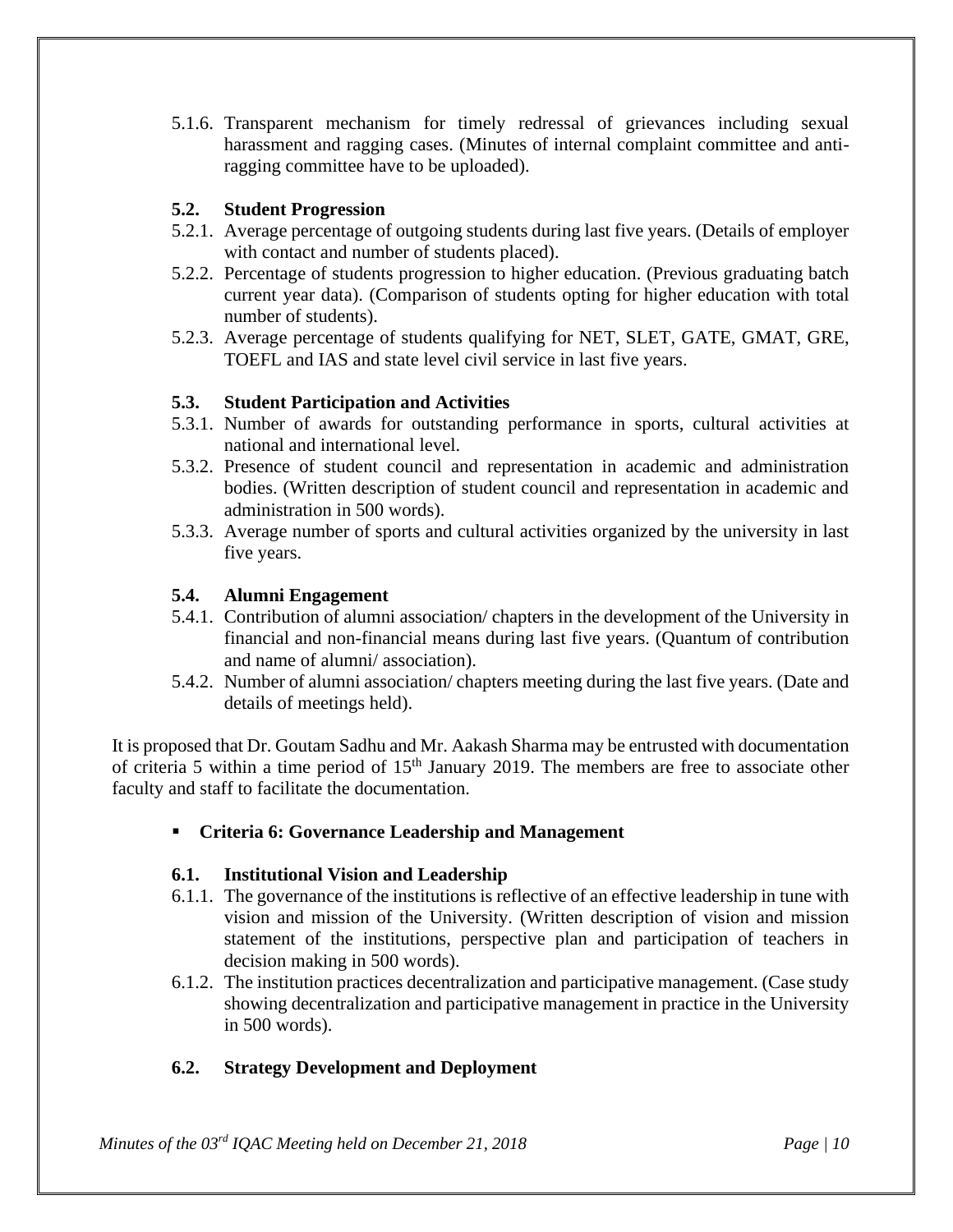5.1.6. Transparent mechanism for timely redressal of grievances including sexual harassment and ragging cases. (Minutes of internal complaint committee and antiragging committee have to be uploaded).

### **5.2. Student Progression**

- 5.2.1. Average percentage of outgoing students during last five years. (Details of employer with contact and number of students placed).
- 5.2.2. Percentage of students progression to higher education. (Previous graduating batch current year data). (Comparison of students opting for higher education with total number of students).
- 5.2.3. Average percentage of students qualifying for NET, SLET, GATE, GMAT, GRE, TOEFL and IAS and state level civil service in last five years.

## **5.3. Student Participation and Activities**

- 5.3.1. Number of awards for outstanding performance in sports, cultural activities at national and international level.
- 5.3.2. Presence of student council and representation in academic and administration bodies. (Written description of student council and representation in academic and administration in 500 words).
- 5.3.3. Average number of sports and cultural activities organized by the university in last five years.

#### **5.4. Alumni Engagement**

- 5.4.1. Contribution of alumni association/ chapters in the development of the University in financial and non-financial means during last five years. (Quantum of contribution and name of alumni/ association).
- 5.4.2. Number of alumni association/ chapters meeting during the last five years. (Date and details of meetings held).

It is proposed that Dr. Goutam Sadhu and Mr. Aakash Sharma may be entrusted with documentation of criteria 5 within a time period of 15<sup>th</sup> January 2019. The members are free to associate other faculty and staff to facilitate the documentation.

▪ **Criteria 6: Governance Leadership and Management** 

### **6.1. Institutional Vision and Leadership**

- 6.1.1. The governance of the institutions is reflective of an effective leadership in tune with vision and mission of the University. (Written description of vision and mission statement of the institutions, perspective plan and participation of teachers in decision making in 500 words).
- 6.1.2. The institution practices decentralization and participative management. (Case study showing decentralization and participative management in practice in the University in 500 words).

### **6.2. Strategy Development and Deployment**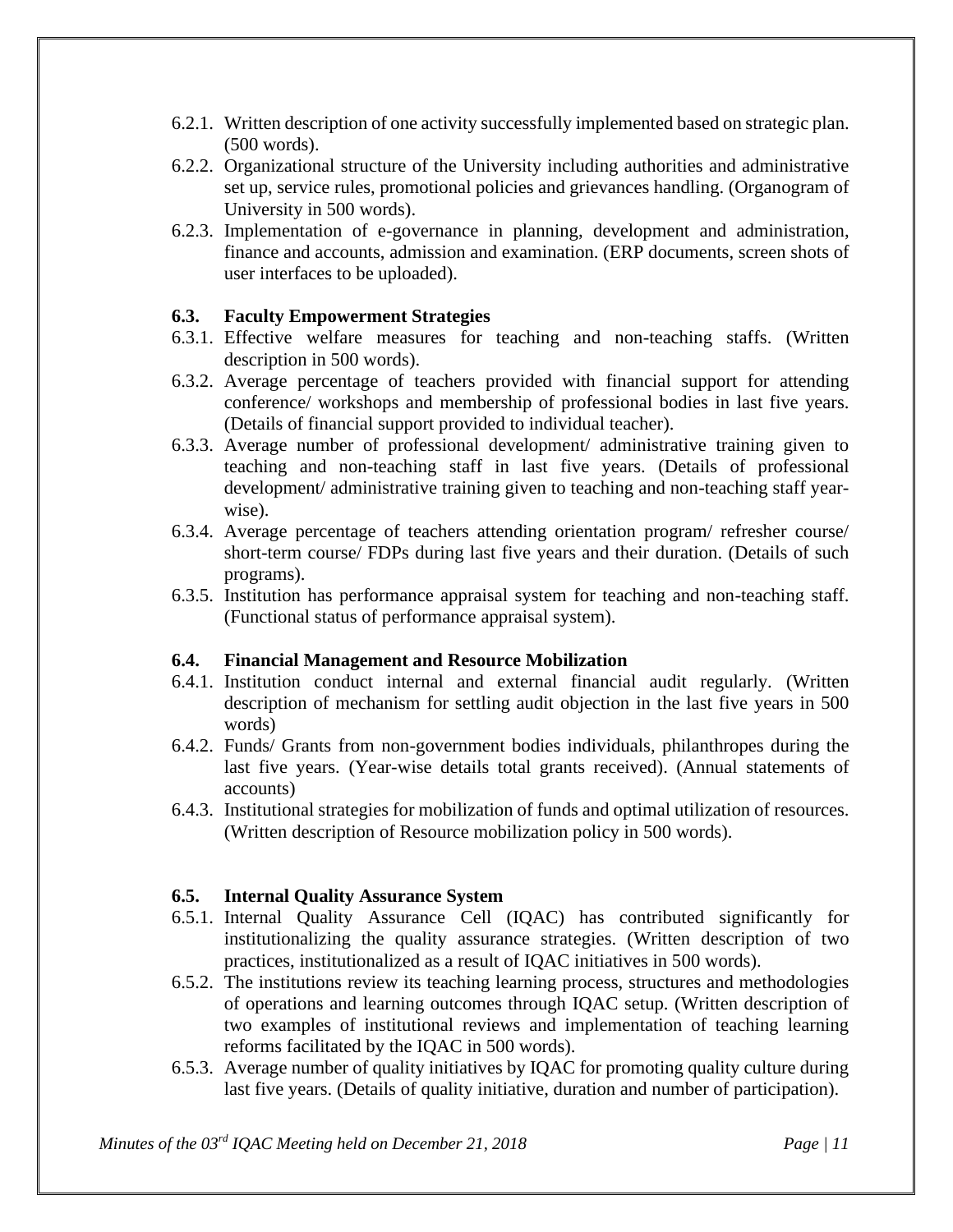- 6.2.1. Written description of one activity successfully implemented based on strategic plan. (500 words).
- 6.2.2. Organizational structure of the University including authorities and administrative set up, service rules, promotional policies and grievances handling. (Organogram of University in 500 words).
- 6.2.3. Implementation of e-governance in planning, development and administration, finance and accounts, admission and examination. (ERP documents, screen shots of user interfaces to be uploaded).

### **6.3. Faculty Empowerment Strategies**

- 6.3.1. Effective welfare measures for teaching and non-teaching staffs. (Written description in 500 words).
- 6.3.2. Average percentage of teachers provided with financial support for attending conference/ workshops and membership of professional bodies in last five years. (Details of financial support provided to individual teacher).
- 6.3.3. Average number of professional development/ administrative training given to teaching and non-teaching staff in last five years. (Details of professional development/ administrative training given to teaching and non-teaching staff yearwise).
- 6.3.4. Average percentage of teachers attending orientation program/ refresher course/ short-term course/ FDPs during last five years and their duration. (Details of such programs).
- 6.3.5. Institution has performance appraisal system for teaching and non-teaching staff. (Functional status of performance appraisal system).

#### **6.4. Financial Management and Resource Mobilization**

- 6.4.1. Institution conduct internal and external financial audit regularly. (Written description of mechanism for settling audit objection in the last five years in 500 words)
- 6.4.2. Funds/ Grants from non-government bodies individuals, philanthropes during the last five years. (Year-wise details total grants received). (Annual statements of accounts)
- 6.4.3. Institutional strategies for mobilization of funds and optimal utilization of resources. (Written description of Resource mobilization policy in 500 words).

#### **6.5. Internal Quality Assurance System**

- 6.5.1. Internal Quality Assurance Cell (IQAC) has contributed significantly for institutionalizing the quality assurance strategies. (Written description of two practices, institutionalized as a result of IQAC initiatives in 500 words).
- 6.5.2. The institutions review its teaching learning process, structures and methodologies of operations and learning outcomes through IQAC setup. (Written description of two examples of institutional reviews and implementation of teaching learning reforms facilitated by the IQAC in 500 words).
- 6.5.3. Average number of quality initiatives by IQAC for promoting quality culture during last five years. (Details of quality initiative, duration and number of participation).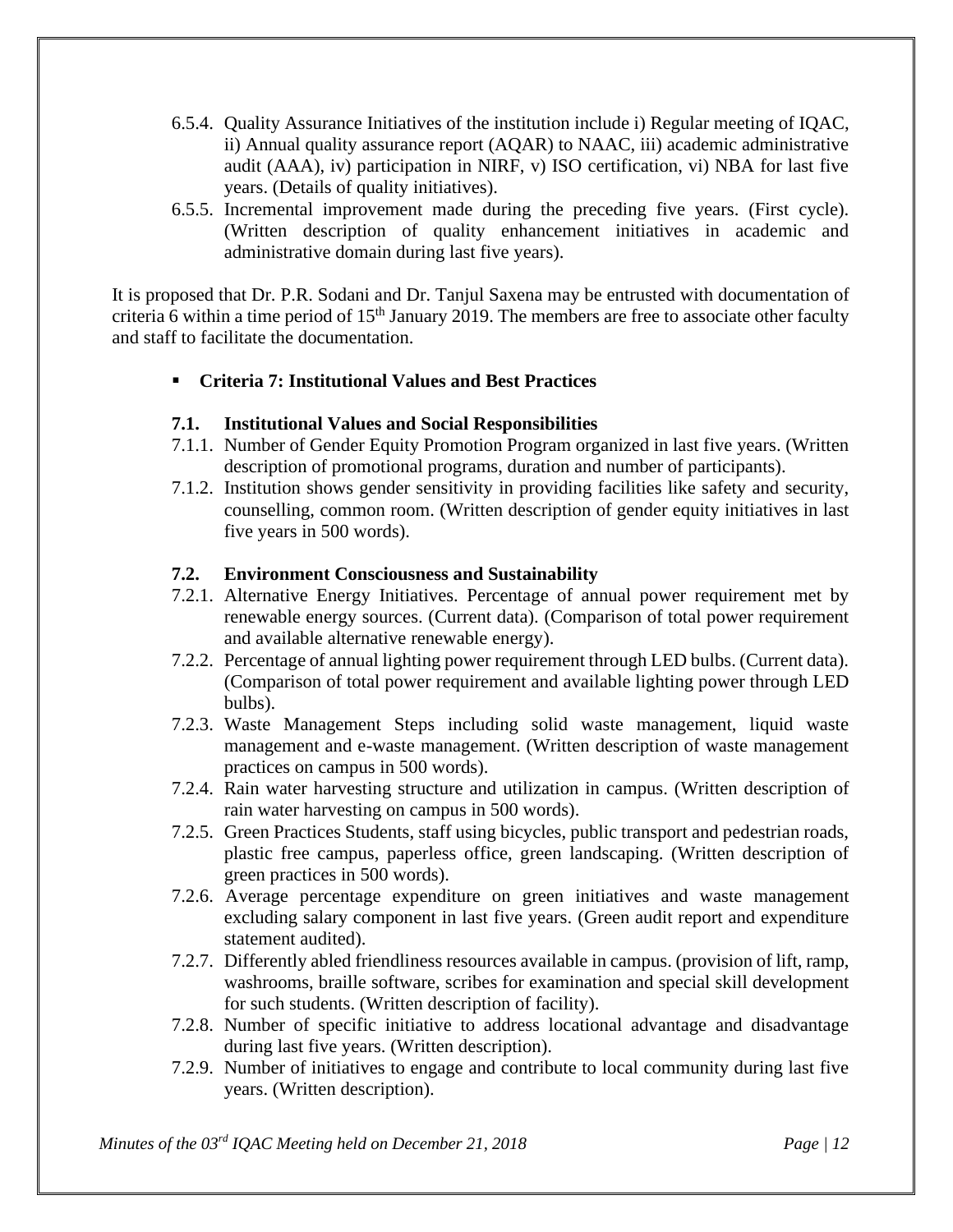- 6.5.4. Quality Assurance Initiatives of the institution include i) Regular meeting of IQAC, ii) Annual quality assurance report (AQAR) to NAAC, iii) academic administrative audit (AAA), iv) participation in NIRF, v) ISO certification, vi) NBA for last five years. (Details of quality initiatives).
- 6.5.5. Incremental improvement made during the preceding five years. (First cycle). (Written description of quality enhancement initiatives in academic and administrative domain during last five years).

It is proposed that Dr. P.R. Sodani and Dr. Tanjul Saxena may be entrusted with documentation of criteria 6 within a time period of  $15<sup>th</sup>$  January 2019. The members are free to associate other faculty and staff to facilitate the documentation.

#### ▪ **Criteria 7: Institutional Values and Best Practices**

#### **7.1. Institutional Values and Social Responsibilities**

- 7.1.1. Number of Gender Equity Promotion Program organized in last five years. (Written description of promotional programs, duration and number of participants).
- 7.1.2. Institution shows gender sensitivity in providing facilities like safety and security, counselling, common room. (Written description of gender equity initiatives in last five years in 500 words).

#### **7.2. Environment Consciousness and Sustainability**

- 7.2.1. Alternative Energy Initiatives. Percentage of annual power requirement met by renewable energy sources. (Current data). (Comparison of total power requirement and available alternative renewable energy).
- 7.2.2. Percentage of annual lighting power requirement through LED bulbs. (Current data). (Comparison of total power requirement and available lighting power through LED bulbs).
- 7.2.3. Waste Management Steps including solid waste management, liquid waste management and e-waste management. (Written description of waste management practices on campus in 500 words).
- 7.2.4. Rain water harvesting structure and utilization in campus. (Written description of rain water harvesting on campus in 500 words).
- 7.2.5. Green Practices Students, staff using bicycles, public transport and pedestrian roads, plastic free campus, paperless office, green landscaping. (Written description of green practices in 500 words).
- 7.2.6. Average percentage expenditure on green initiatives and waste management excluding salary component in last five years. (Green audit report and expenditure statement audited).
- 7.2.7. Differently abled friendliness resources available in campus. (provision of lift, ramp, washrooms, braille software, scribes for examination and special skill development for such students. (Written description of facility).
- 7.2.8. Number of specific initiative to address locational advantage and disadvantage during last five years. (Written description).
- 7.2.9. Number of initiatives to engage and contribute to local community during last five years. (Written description).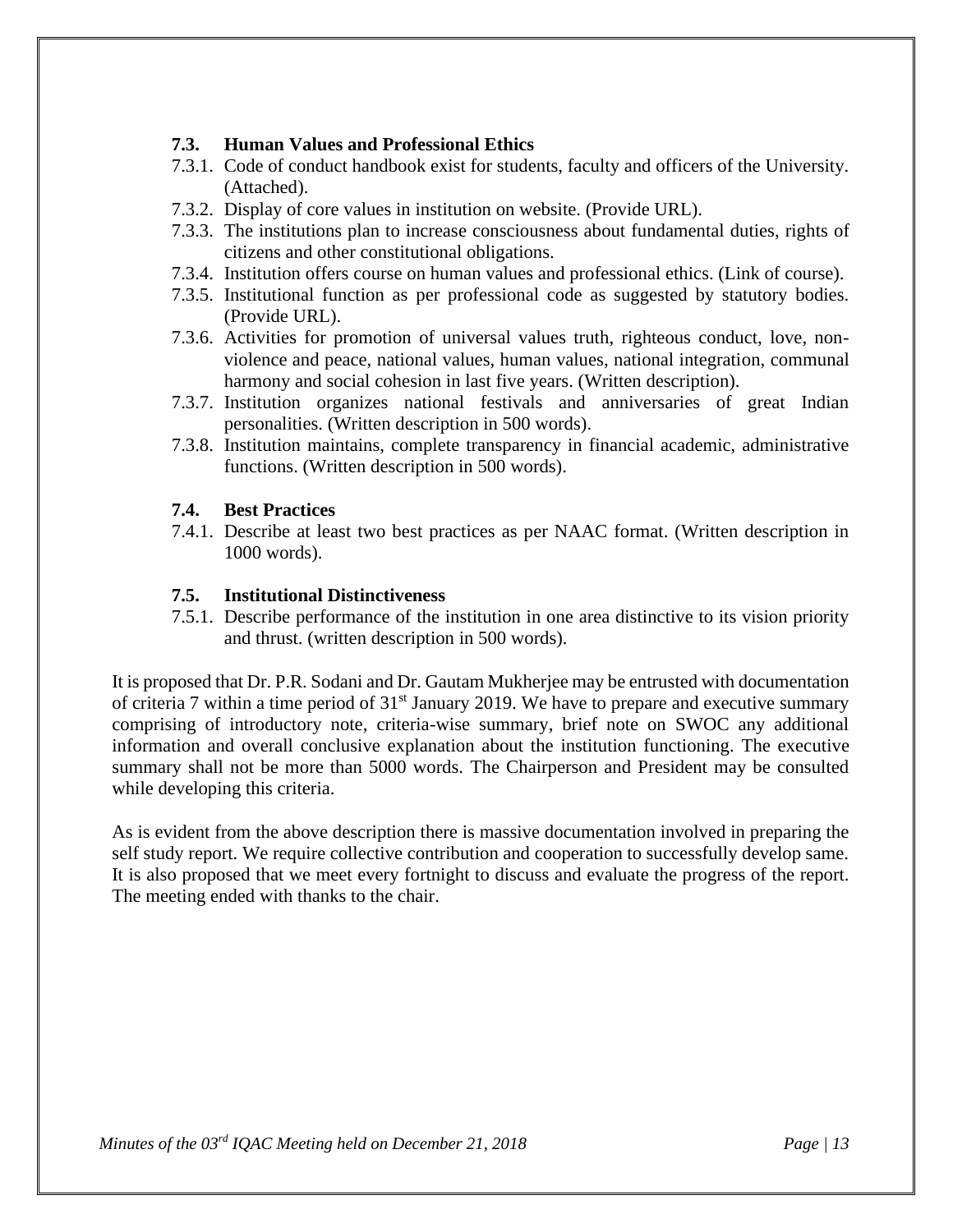#### **7.3. Human Values and Professional Ethics**

- 7.3.1. Code of conduct handbook exist for students, faculty and officers of the University. (Attached).
- 7.3.2. Display of core values in institution on website. (Provide URL).
- 7.3.3. The institutions plan to increase consciousness about fundamental duties, rights of citizens and other constitutional obligations.
- 7.3.4. Institution offers course on human values and professional ethics. (Link of course).
- 7.3.5. Institutional function as per professional code as suggested by statutory bodies. (Provide URL).
- 7.3.6. Activities for promotion of universal values truth, righteous conduct, love, nonviolence and peace, national values, human values, national integration, communal harmony and social cohesion in last five years. (Written description).
- 7.3.7. Institution organizes national festivals and anniversaries of great Indian personalities. (Written description in 500 words).
- 7.3.8. Institution maintains, complete transparency in financial academic, administrative functions. (Written description in 500 words).

#### **7.4. Best Practices**

7.4.1. Describe at least two best practices as per NAAC format. (Written description in 1000 words).

#### **7.5. Institutional Distinctiveness**

7.5.1. Describe performance of the institution in one area distinctive to its vision priority and thrust. (written description in 500 words).

It is proposed that Dr. P.R. Sodani and Dr. Gautam Mukherjee may be entrusted with documentation of criteria 7 within a time period of  $31<sup>st</sup>$  January 2019. We have to prepare and executive summary comprising of introductory note, criteria-wise summary, brief note on SWOC any additional information and overall conclusive explanation about the institution functioning. The executive summary shall not be more than 5000 words. The Chairperson and President may be consulted while developing this criteria.

As is evident from the above description there is massive documentation involved in preparing the self study report. We require collective contribution and cooperation to successfully develop same. It is also proposed that we meet every fortnight to discuss and evaluate the progress of the report. The meeting ended with thanks to the chair.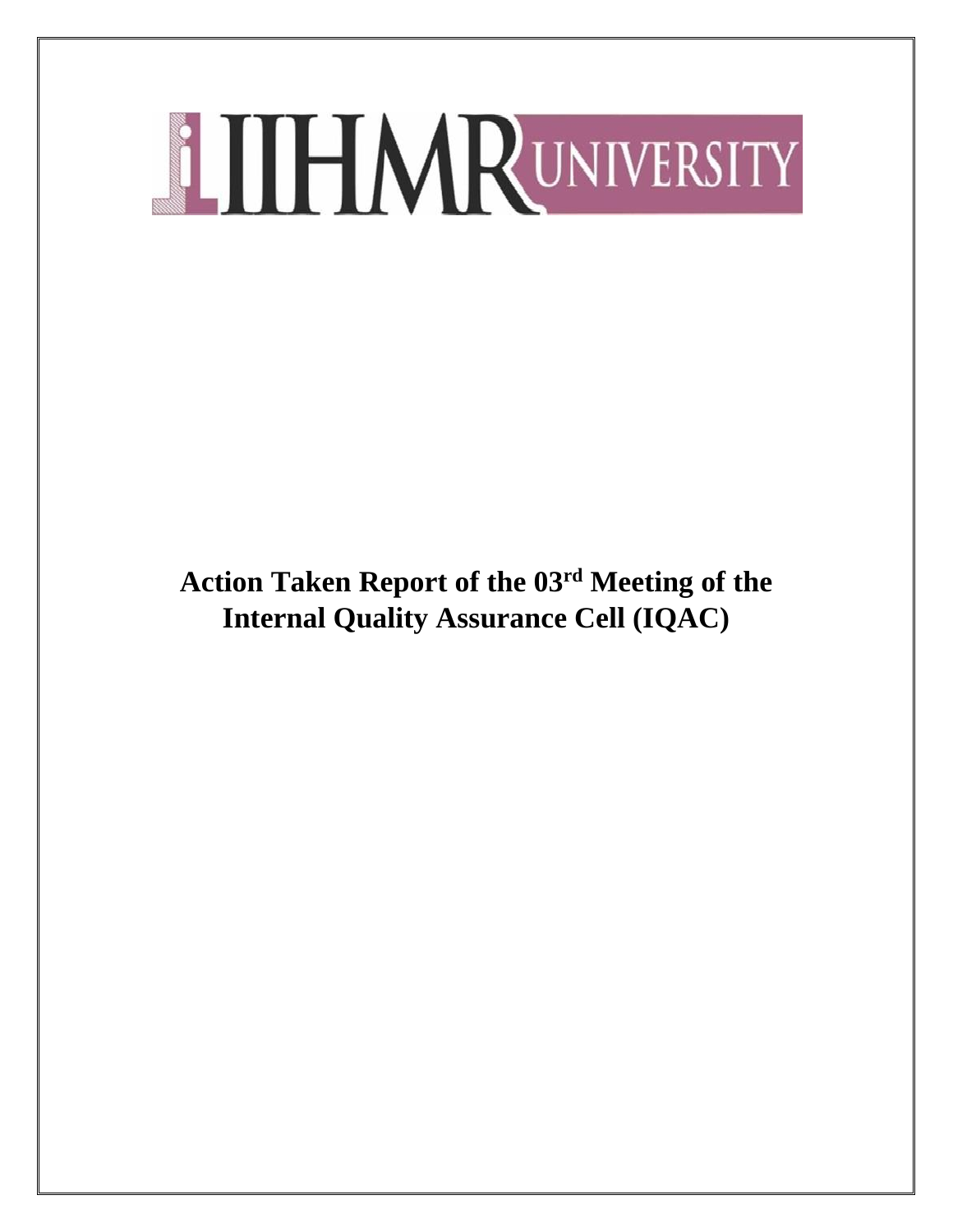**Action Taken Report of the 03rd Meeting of the Internal Quality Assurance Cell (IQAC)**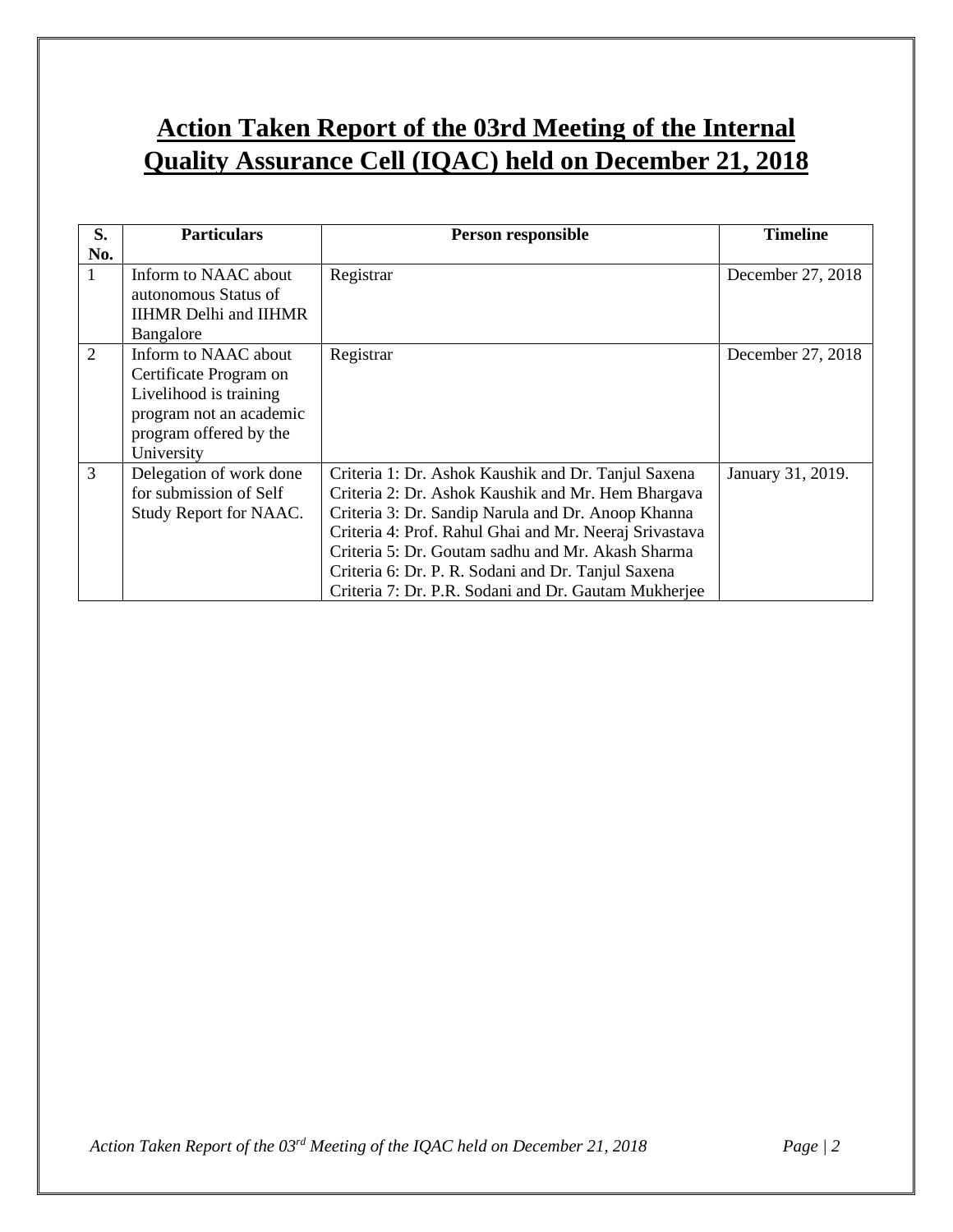# **Action Taken Report of the 03rd Meeting of the Internal Quality Assurance Cell (IQAC) held on December 21, 2018**

| S.             | <b>Particulars</b>                           | Person responsible                                     | <b>Timeline</b>   |
|----------------|----------------------------------------------|--------------------------------------------------------|-------------------|
| No.            |                                              |                                                        |                   |
| $\mathbf{1}$   | Inform to NAAC about<br>autonomous Status of | Registrar                                              | December 27, 2018 |
|                | <b>IIHMR</b> Delhi and <b>IIHMR</b>          |                                                        |                   |
|                | Bangalore                                    |                                                        |                   |
| $\overline{2}$ | Inform to NAAC about                         | Registrar                                              | December 27, 2018 |
|                | Certificate Program on                       |                                                        |                   |
|                | Livelihood is training                       |                                                        |                   |
|                | program not an academic                      |                                                        |                   |
|                | program offered by the                       |                                                        |                   |
|                | University                                   |                                                        |                   |
| 3              | Delegation of work done                      | Criteria 1: Dr. Ashok Kaushik and Dr. Tanjul Saxena    | January 31, 2019. |
|                | for submission of Self                       | Criteria 2: Dr. Ashok Kaushik and Mr. Hem Bhargava     |                   |
|                | Study Report for NAAC.                       | Criteria 3: Dr. Sandip Narula and Dr. Anoop Khanna     |                   |
|                |                                              | Criteria 4: Prof. Rahul Ghai and Mr. Neeraj Srivastava |                   |
|                |                                              | Criteria 5: Dr. Goutam sadhu and Mr. Akash Sharma      |                   |
|                |                                              | Criteria 6: Dr. P. R. Sodani and Dr. Tanjul Saxena     |                   |
|                |                                              | Criteria 7: Dr. P.R. Sodani and Dr. Gautam Mukherjee   |                   |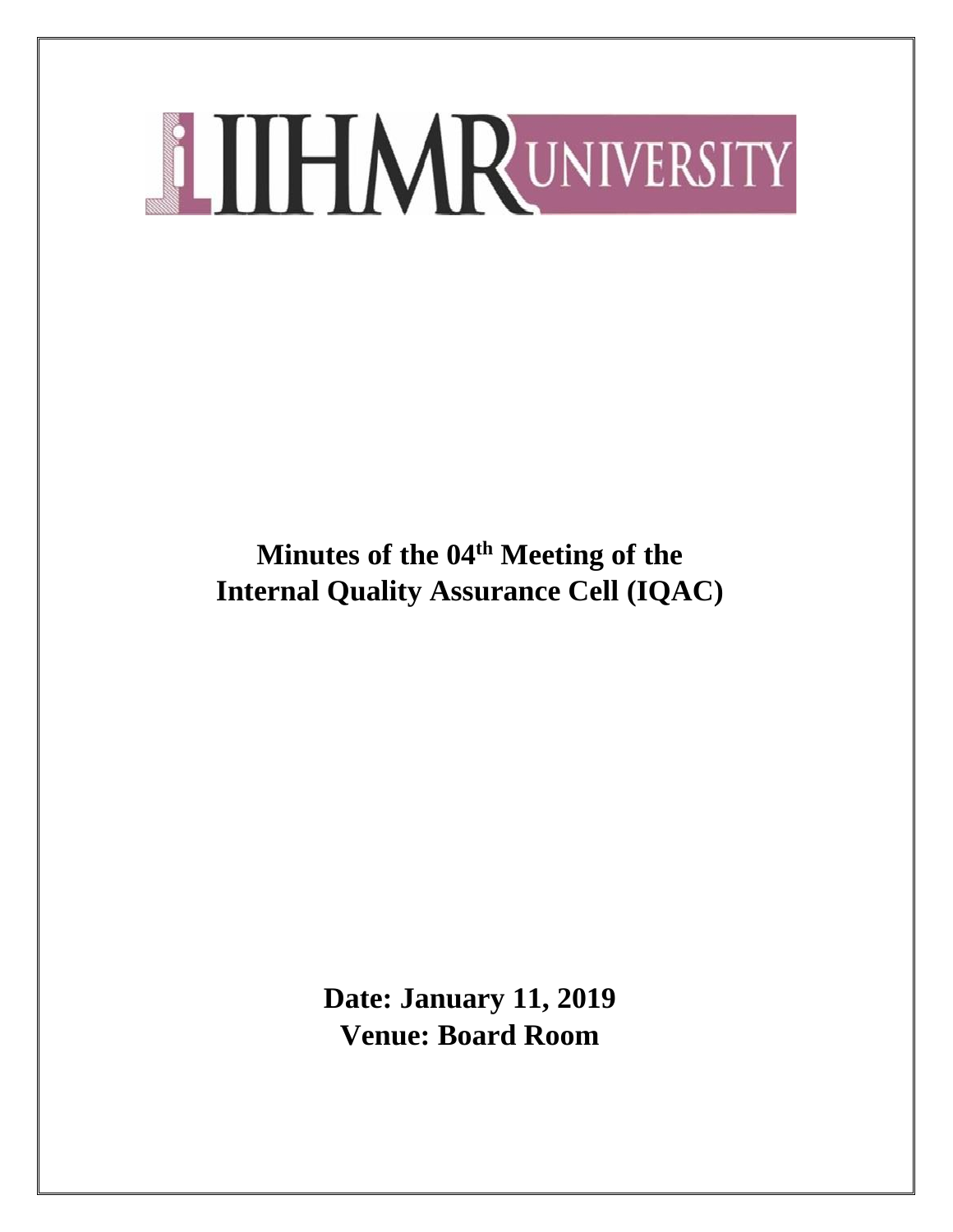**Minutes of the 04 th Meeting of the Internal Quality Assurance Cell (IQAC)**

> **Date: January 11, 2019 Venue: Board Room**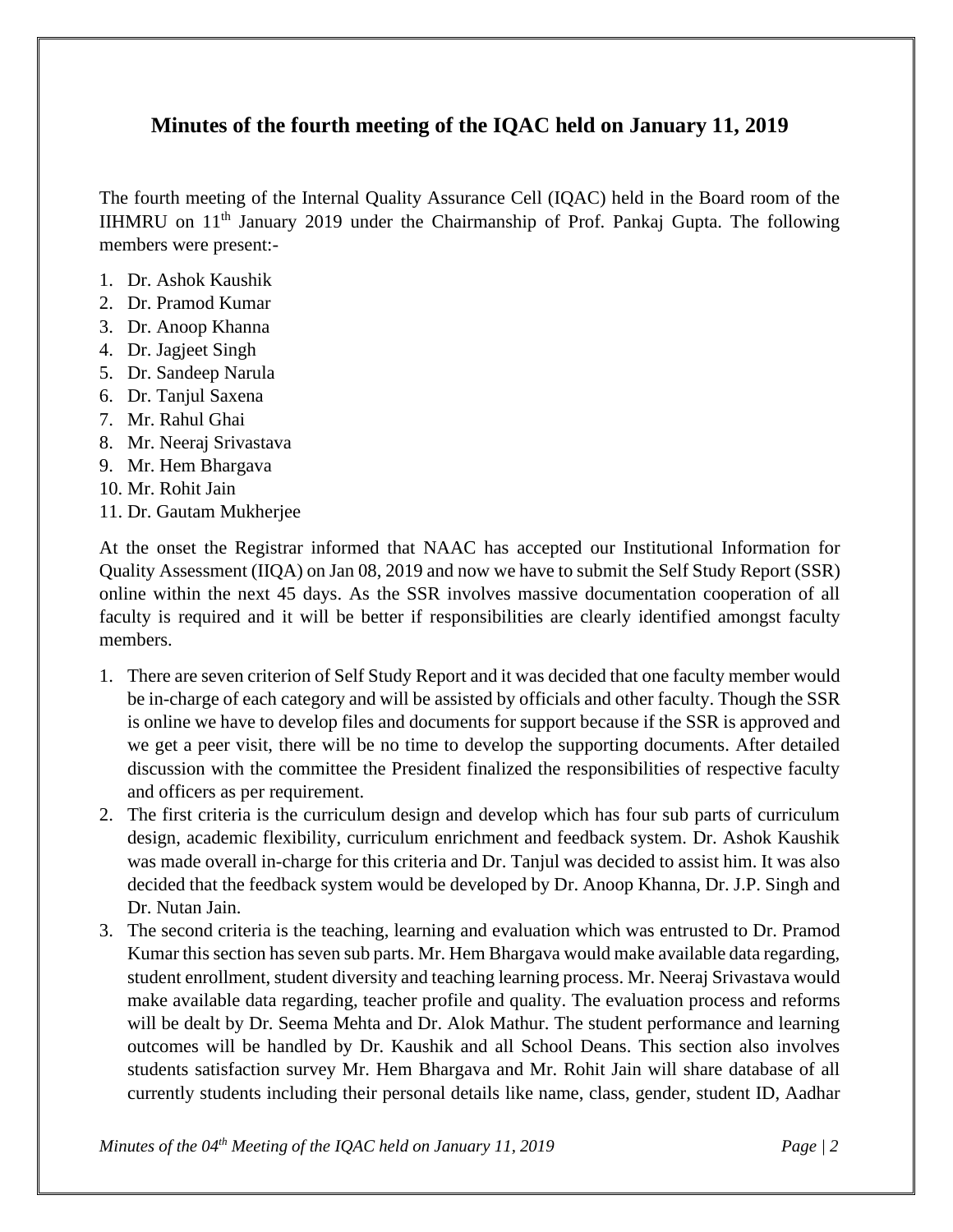# **Minutes of the fourth meeting of the IQAC held on January 11, 2019**

The fourth meeting of the Internal Quality Assurance Cell (IQAC) held in the Board room of the IIHMRU on 11th January 2019 under the Chairmanship of Prof. Pankaj Gupta. The following members were present:-

- 1. Dr. Ashok Kaushik
- 2. Dr. Pramod Kumar
- 3. Dr. Anoop Khanna
- 4. Dr. Jagjeet Singh
- 5. Dr. Sandeep Narula
- 6. Dr. Tanjul Saxena
- 7. Mr. Rahul Ghai
- 8. Mr. Neeraj Srivastava
- 9. Mr. Hem Bhargava
- 10. Mr. Rohit Jain
- 11. Dr. Gautam Mukherjee

At the onset the Registrar informed that NAAC has accepted our Institutional Information for Quality Assessment (IIQA) on Jan 08, 2019 and now we have to submit the Self Study Report (SSR) online within the next 45 days. As the SSR involves massive documentation cooperation of all faculty is required and it will be better if responsibilities are clearly identified amongst faculty members.

- 1. There are seven criterion of Self Study Report and it was decided that one faculty member would be in-charge of each category and will be assisted by officials and other faculty. Though the SSR is online we have to develop files and documents for support because if the SSR is approved and we get a peer visit, there will be no time to develop the supporting documents. After detailed discussion with the committee the President finalized the responsibilities of respective faculty and officers as per requirement.
- 2. The first criteria is the curriculum design and develop which has four sub parts of curriculum design, academic flexibility, curriculum enrichment and feedback system. Dr. Ashok Kaushik was made overall in-charge for this criteria and Dr. Tanjul was decided to assist him. It was also decided that the feedback system would be developed by Dr. Anoop Khanna, Dr. J.P. Singh and Dr. Nutan Jain.
- 3. The second criteria is the teaching, learning and evaluation which was entrusted to Dr. Pramod Kumar this section has seven sub parts. Mr. Hem Bhargava would make available data regarding, student enrollment, student diversity and teaching learning process. Mr. Neeraj Srivastava would make available data regarding, teacher profile and quality. The evaluation process and reforms will be dealt by Dr. Seema Mehta and Dr. Alok Mathur. The student performance and learning outcomes will be handled by Dr. Kaushik and all School Deans. This section also involves students satisfaction survey Mr. Hem Bhargava and Mr. Rohit Jain will share database of all currently students including their personal details like name, class, gender, student ID, Aadhar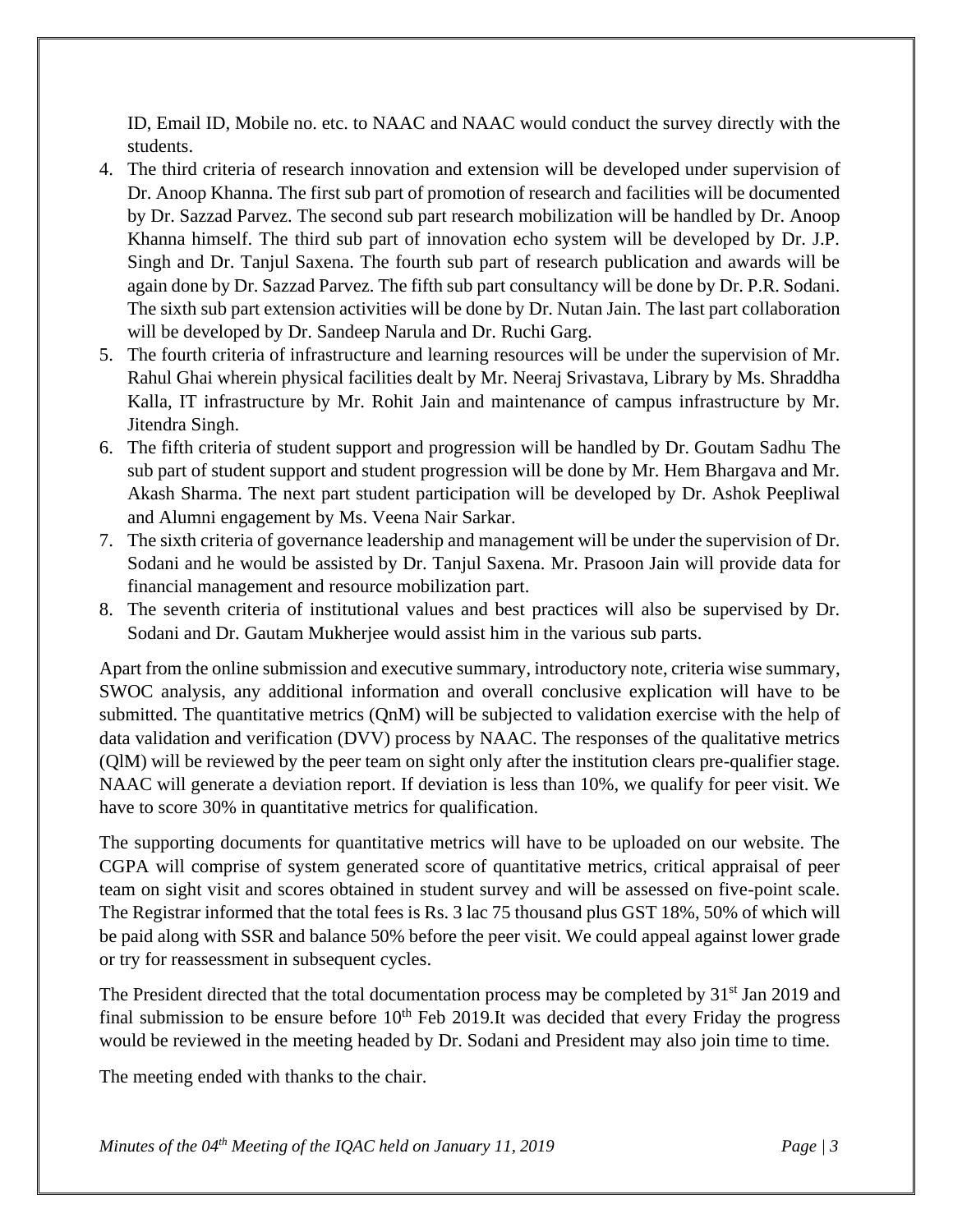ID, Email ID, Mobile no. etc. to NAAC and NAAC would conduct the survey directly with the students.

- 4. The third criteria of research innovation and extension will be developed under supervision of Dr. Anoop Khanna. The first sub part of promotion of research and facilities will be documented by Dr. Sazzad Parvez. The second sub part research mobilization will be handled by Dr. Anoop Khanna himself. The third sub part of innovation echo system will be developed by Dr. J.P. Singh and Dr. Tanjul Saxena. The fourth sub part of research publication and awards will be again done by Dr. Sazzad Parvez. The fifth sub part consultancy will be done by Dr. P.R. Sodani. The sixth sub part extension activities will be done by Dr. Nutan Jain. The last part collaboration will be developed by Dr. Sandeep Narula and Dr. Ruchi Garg.
- 5. The fourth criteria of infrastructure and learning resources will be under the supervision of Mr. Rahul Ghai wherein physical facilities dealt by Mr. Neeraj Srivastava, Library by Ms. Shraddha Kalla, IT infrastructure by Mr. Rohit Jain and maintenance of campus infrastructure by Mr. Jitendra Singh.
- 6. The fifth criteria of student support and progression will be handled by Dr. Goutam Sadhu The sub part of student support and student progression will be done by Mr. Hem Bhargava and Mr. Akash Sharma. The next part student participation will be developed by Dr. Ashok Peepliwal and Alumni engagement by Ms. Veena Nair Sarkar.
- 7. The sixth criteria of governance leadership and management will be under the supervision of Dr. Sodani and he would be assisted by Dr. Tanjul Saxena. Mr. Prasoon Jain will provide data for financial management and resource mobilization part.
- 8. The seventh criteria of institutional values and best practices will also be supervised by Dr. Sodani and Dr. Gautam Mukherjee would assist him in the various sub parts.

Apart from the online submission and executive summary, introductory note, criteria wise summary, SWOC analysis, any additional information and overall conclusive explication will have to be submitted. The quantitative metrics (QnM) will be subjected to validation exercise with the help of data validation and verification (DVV) process by NAAC. The responses of the qualitative metrics (QlM) will be reviewed by the peer team on sight only after the institution clears pre-qualifier stage. NAAC will generate a deviation report. If deviation is less than 10%, we qualify for peer visit. We have to score 30% in quantitative metrics for qualification.

The supporting documents for quantitative metrics will have to be uploaded on our website. The CGPA will comprise of system generated score of quantitative metrics, critical appraisal of peer team on sight visit and scores obtained in student survey and will be assessed on five-point scale. The Registrar informed that the total fees is Rs. 3 lac 75 thousand plus GST 18%, 50% of which will be paid along with SSR and balance 50% before the peer visit. We could appeal against lower grade or try for reassessment in subsequent cycles.

The President directed that the total documentation process may be completed by 31<sup>st</sup> Jan 2019 and final submission to be ensure before  $10<sup>th</sup>$  Feb 2019.It was decided that every Friday the progress would be reviewed in the meeting headed by Dr. Sodani and President may also join time to time.

The meeting ended with thanks to the chair.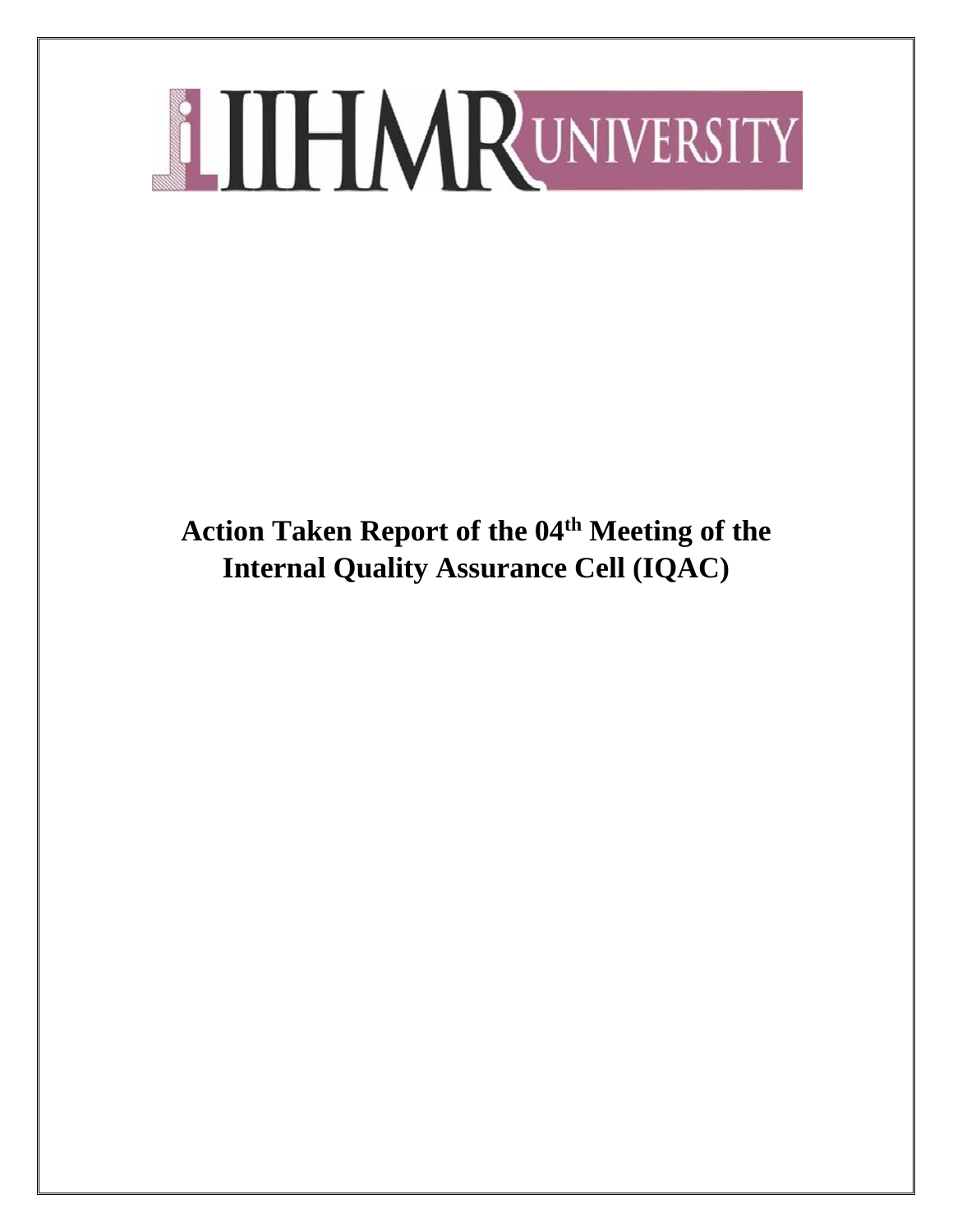**Action Taken Report of the 04th Meeting of the Internal Quality Assurance Cell (IQAC)**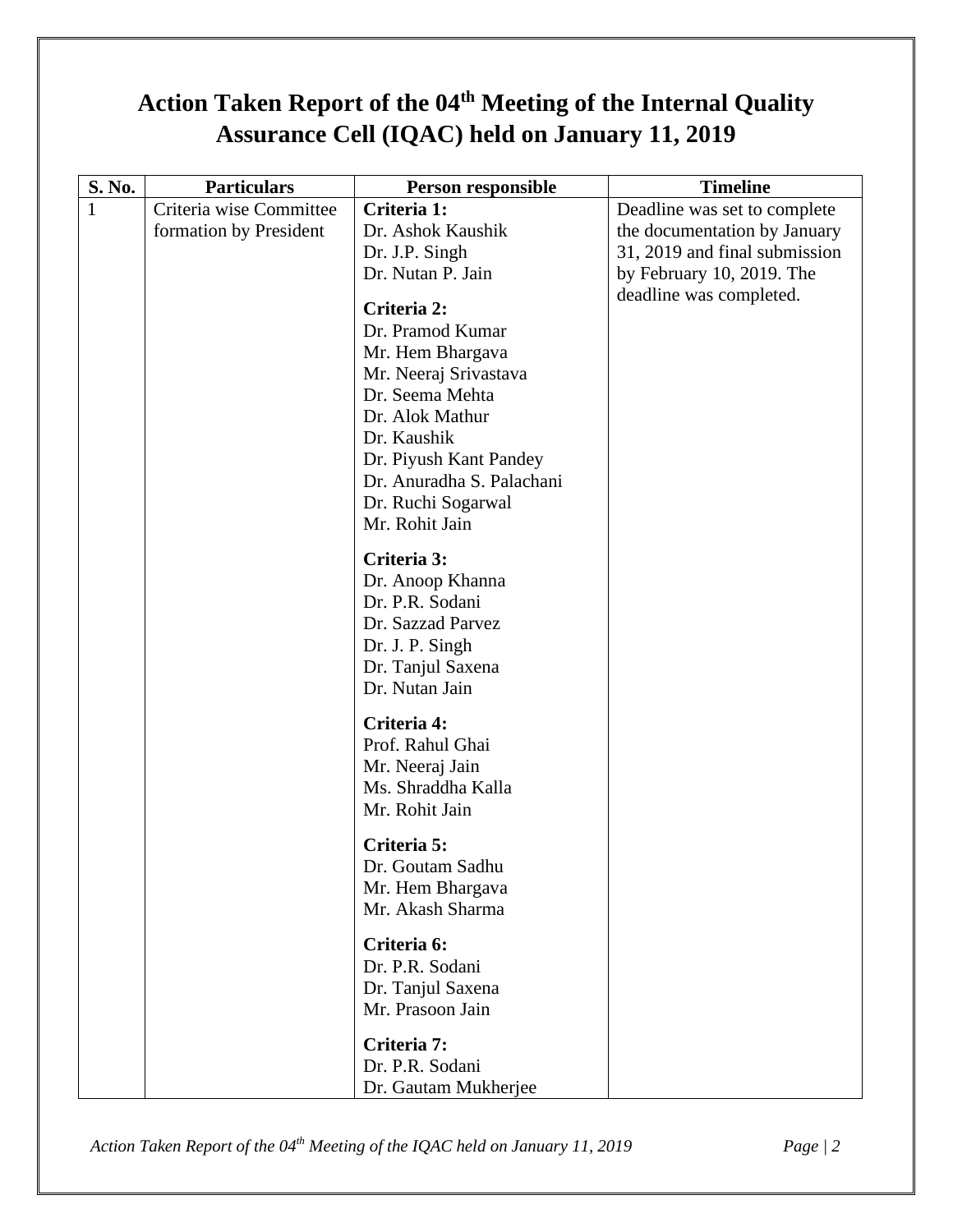# **Action Taken Report of the 04th Meeting of the Internal Quality Assurance Cell (IQAC) held on January 11, 2019**

| S. No. | <b>Particulars</b>      | Person responsible        | <b>Timeline</b>               |
|--------|-------------------------|---------------------------|-------------------------------|
| 1      | Criteria wise Committee | Criteria 1:               | Deadline was set to complete  |
|        | formation by President  | Dr. Ashok Kaushik         | the documentation by January  |
|        |                         | Dr. J.P. Singh            | 31, 2019 and final submission |
|        |                         | Dr. Nutan P. Jain         | by February 10, 2019. The     |
|        |                         | Criteria 2:               | deadline was completed.       |
|        |                         | Dr. Pramod Kumar          |                               |
|        |                         | Mr. Hem Bhargava          |                               |
|        |                         | Mr. Neeraj Srivastava     |                               |
|        |                         | Dr. Seema Mehta           |                               |
|        |                         | Dr. Alok Mathur           |                               |
|        |                         | Dr. Kaushik               |                               |
|        |                         | Dr. Piyush Kant Pandey    |                               |
|        |                         | Dr. Anuradha S. Palachani |                               |
|        |                         | Dr. Ruchi Sogarwal        |                               |
|        |                         | Mr. Rohit Jain            |                               |
|        |                         |                           |                               |
|        |                         | Criteria 3:               |                               |
|        |                         | Dr. Anoop Khanna          |                               |
|        |                         | Dr. P.R. Sodani           |                               |
|        |                         | Dr. Sazzad Parvez         |                               |
|        |                         | Dr. J. P. Singh           |                               |
|        |                         | Dr. Tanjul Saxena         |                               |
|        |                         | Dr. Nutan Jain            |                               |
|        |                         | Criteria 4:               |                               |
|        |                         | Prof. Rahul Ghai          |                               |
|        |                         | Mr. Neeraj Jain           |                               |
|        |                         | Ms. Shraddha Kalla        |                               |
|        |                         | Mr. Rohit Jain            |                               |
|        |                         | Criteria 5:               |                               |
|        |                         | Dr. Goutam Sadhu          |                               |
|        |                         |                           |                               |
|        |                         | Mr. Hem Bhargava          |                               |
|        |                         | Mr. Akash Sharma          |                               |
|        |                         | Criteria 6:               |                               |
|        |                         | Dr. P.R. Sodani           |                               |
|        |                         | Dr. Tanjul Saxena         |                               |
|        |                         | Mr. Prasoon Jain          |                               |
|        |                         | Criteria 7:               |                               |
|        |                         | Dr. P.R. Sodani           |                               |
|        |                         | Dr. Gautam Mukherjee      |                               |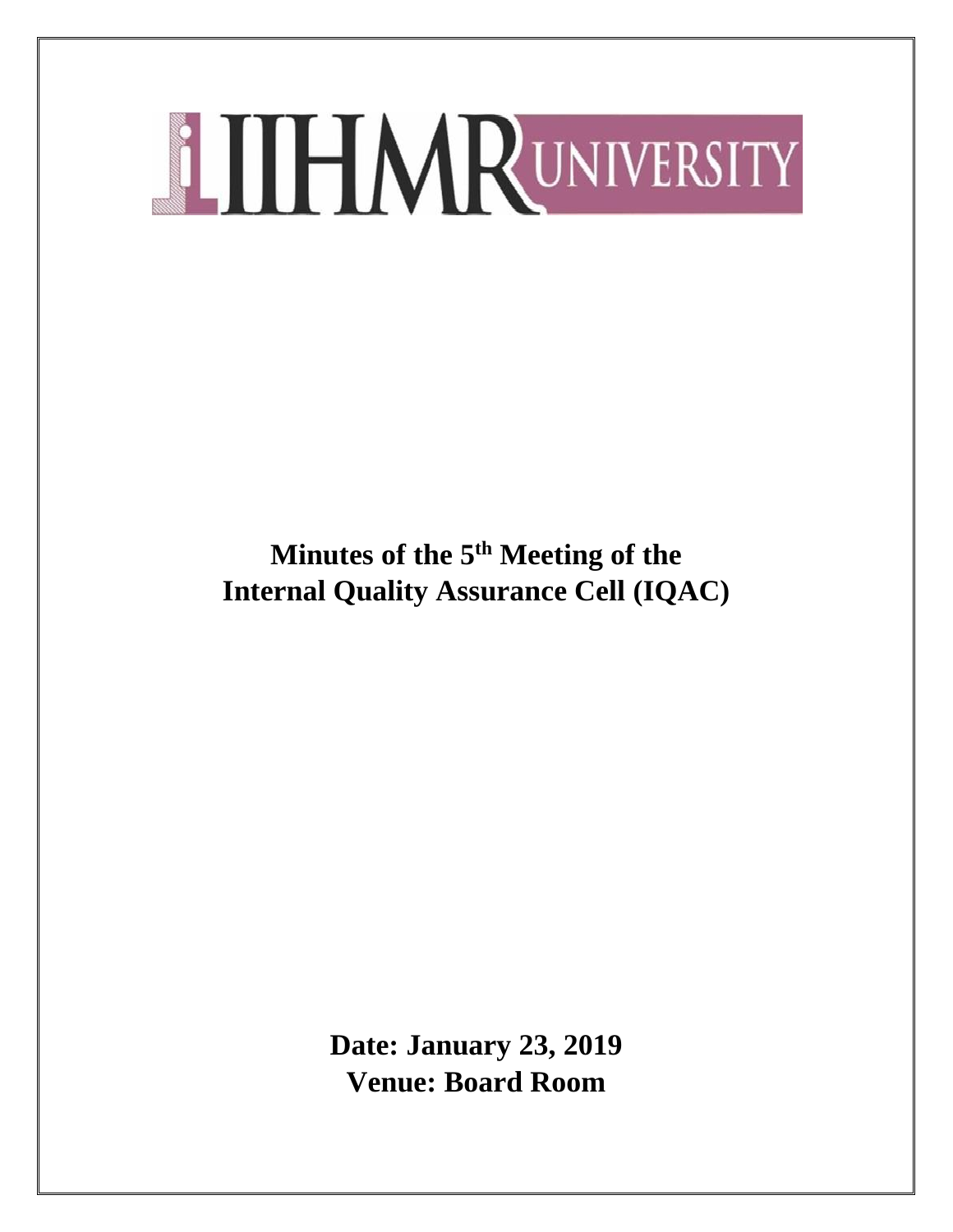**Minutes of the 5 th Meeting of the Internal Quality Assurance Cell (IQAC)**

> **Date: January 23, 2019 Venue: Board Room**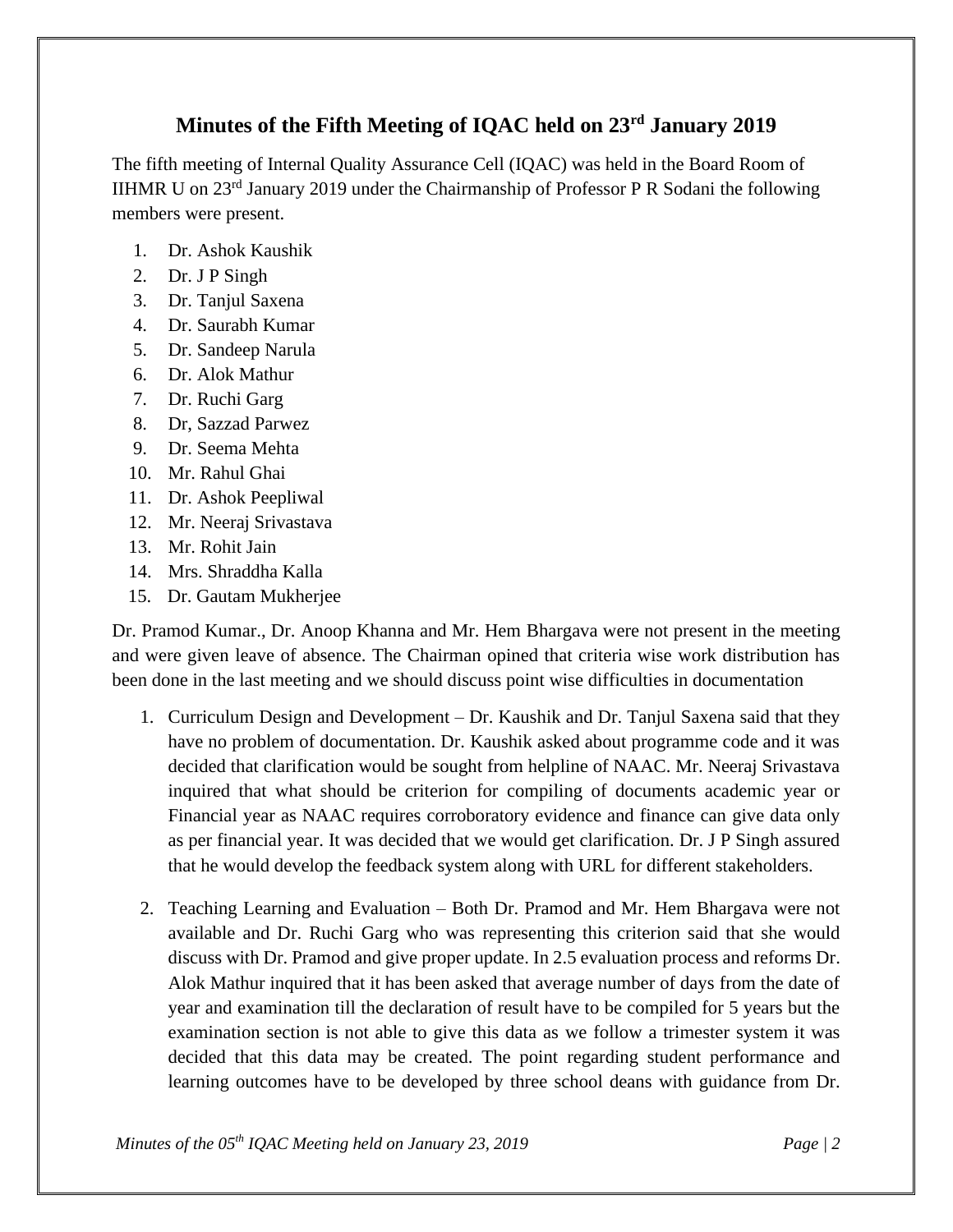# **Minutes of the Fifth Meeting of IQAC held on 23rd January 2019**

The fifth meeting of Internal Quality Assurance Cell (IQAC) was held in the Board Room of IIHMR U on  $23<sup>rd</sup>$  January 2019 under the Chairmanship of Professor P R Sodani the following members were present.

- 1. Dr. Ashok Kaushik
- 2. Dr. J P Singh
- 3. Dr. Tanjul Saxena
- 4. Dr. Saurabh Kumar
- 5. Dr. Sandeep Narula
- 6. Dr. Alok Mathur
- 7. Dr. Ruchi Garg
- 8. Dr, Sazzad Parwez
- 9. Dr. Seema Mehta
- 10. Mr. Rahul Ghai
- 11. Dr. Ashok Peepliwal
- 12. Mr. Neeraj Srivastava
- 13. Mr. Rohit Jain
- 14. Mrs. Shraddha Kalla
- 15. Dr. Gautam Mukherjee

Dr. Pramod Kumar., Dr. Anoop Khanna and Mr. Hem Bhargava were not present in the meeting and were given leave of absence. The Chairman opined that criteria wise work distribution has been done in the last meeting and we should discuss point wise difficulties in documentation

- 1. Curriculum Design and Development Dr. Kaushik and Dr. Tanjul Saxena said that they have no problem of documentation. Dr. Kaushik asked about programme code and it was decided that clarification would be sought from helpline of NAAC. Mr. Neeraj Srivastava inquired that what should be criterion for compiling of documents academic year or Financial year as NAAC requires corroboratory evidence and finance can give data only as per financial year. It was decided that we would get clarification. Dr. J P Singh assured that he would develop the feedback system along with URL for different stakeholders.
- 2. Teaching Learning and Evaluation Both Dr. Pramod and Mr. Hem Bhargava were not available and Dr. Ruchi Garg who was representing this criterion said that she would discuss with Dr. Pramod and give proper update. In 2.5 evaluation process and reforms Dr. Alok Mathur inquired that it has been asked that average number of days from the date of year and examination till the declaration of result have to be compiled for 5 years but the examination section is not able to give this data as we follow a trimester system it was decided that this data may be created. The point regarding student performance and learning outcomes have to be developed by three school deans with guidance from Dr.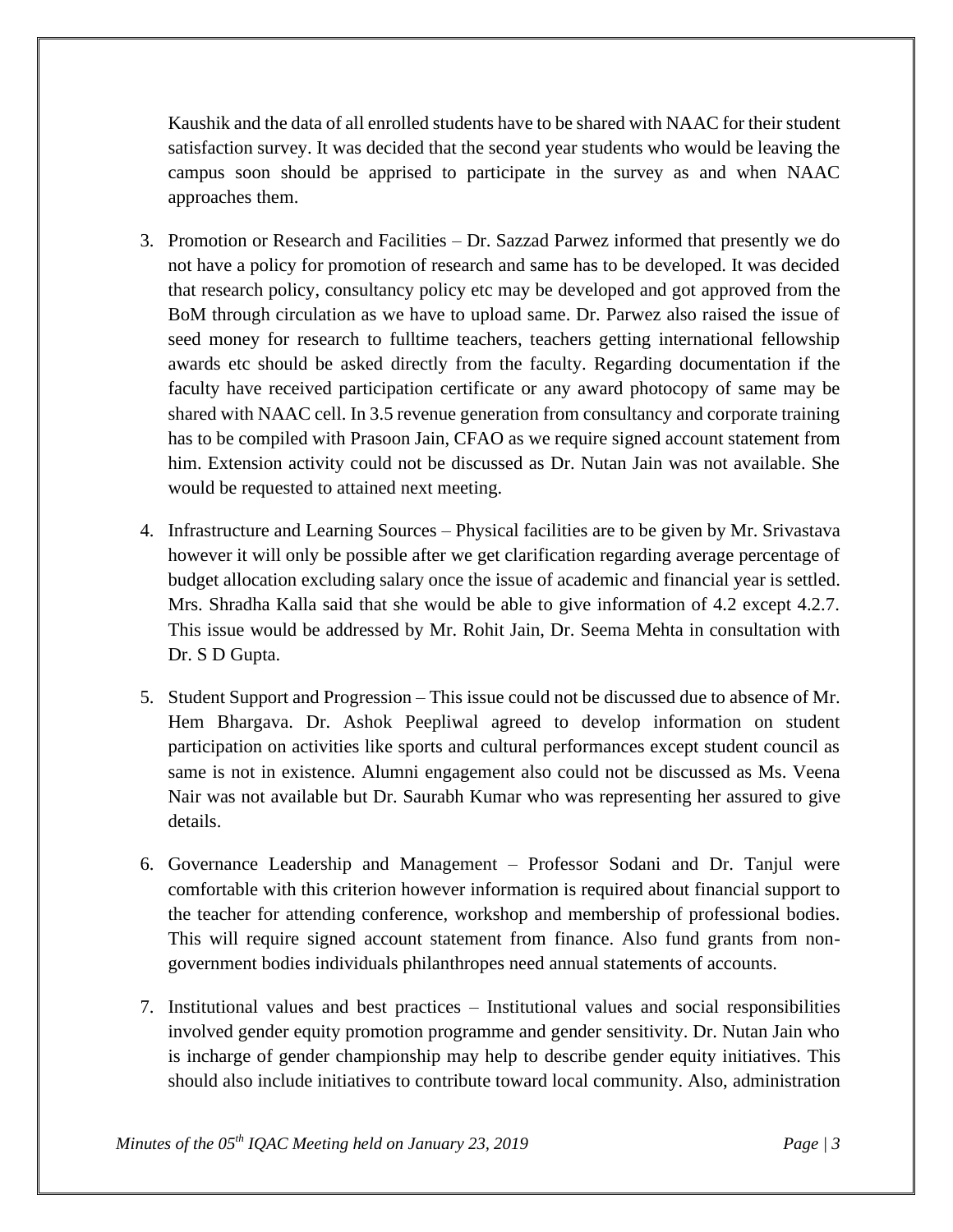Kaushik and the data of all enrolled students have to be shared with NAAC for their student satisfaction survey. It was decided that the second year students who would be leaving the campus soon should be apprised to participate in the survey as and when NAAC approaches them.

- 3. Promotion or Research and Facilities Dr. Sazzad Parwez informed that presently we do not have a policy for promotion of research and same has to be developed. It was decided that research policy, consultancy policy etc may be developed and got approved from the BoM through circulation as we have to upload same. Dr. Parwez also raised the issue of seed money for research to fulltime teachers, teachers getting international fellowship awards etc should be asked directly from the faculty. Regarding documentation if the faculty have received participation certificate or any award photocopy of same may be shared with NAAC cell. In 3.5 revenue generation from consultancy and corporate training has to be compiled with Prasoon Jain, CFAO as we require signed account statement from him. Extension activity could not be discussed as Dr. Nutan Jain was not available. She would be requested to attained next meeting.
- 4. Infrastructure and Learning Sources Physical facilities are to be given by Mr. Srivastava however it will only be possible after we get clarification regarding average percentage of budget allocation excluding salary once the issue of academic and financial year is settled. Mrs. Shradha Kalla said that she would be able to give information of 4.2 except 4.2.7. This issue would be addressed by Mr. Rohit Jain, Dr. Seema Mehta in consultation with Dr. S D Gupta.
- 5. Student Support and Progression This issue could not be discussed due to absence of Mr. Hem Bhargava. Dr. Ashok Peepliwal agreed to develop information on student participation on activities like sports and cultural performances except student council as same is not in existence. Alumni engagement also could not be discussed as Ms. Veena Nair was not available but Dr. Saurabh Kumar who was representing her assured to give details.
- 6. Governance Leadership and Management Professor Sodani and Dr. Tanjul were comfortable with this criterion however information is required about financial support to the teacher for attending conference, workshop and membership of professional bodies. This will require signed account statement from finance. Also fund grants from nongovernment bodies individuals philanthropes need annual statements of accounts.
- 7. Institutional values and best practices Institutional values and social responsibilities involved gender equity promotion programme and gender sensitivity. Dr. Nutan Jain who is incharge of gender championship may help to describe gender equity initiatives. This should also include initiatives to contribute toward local community. Also, administration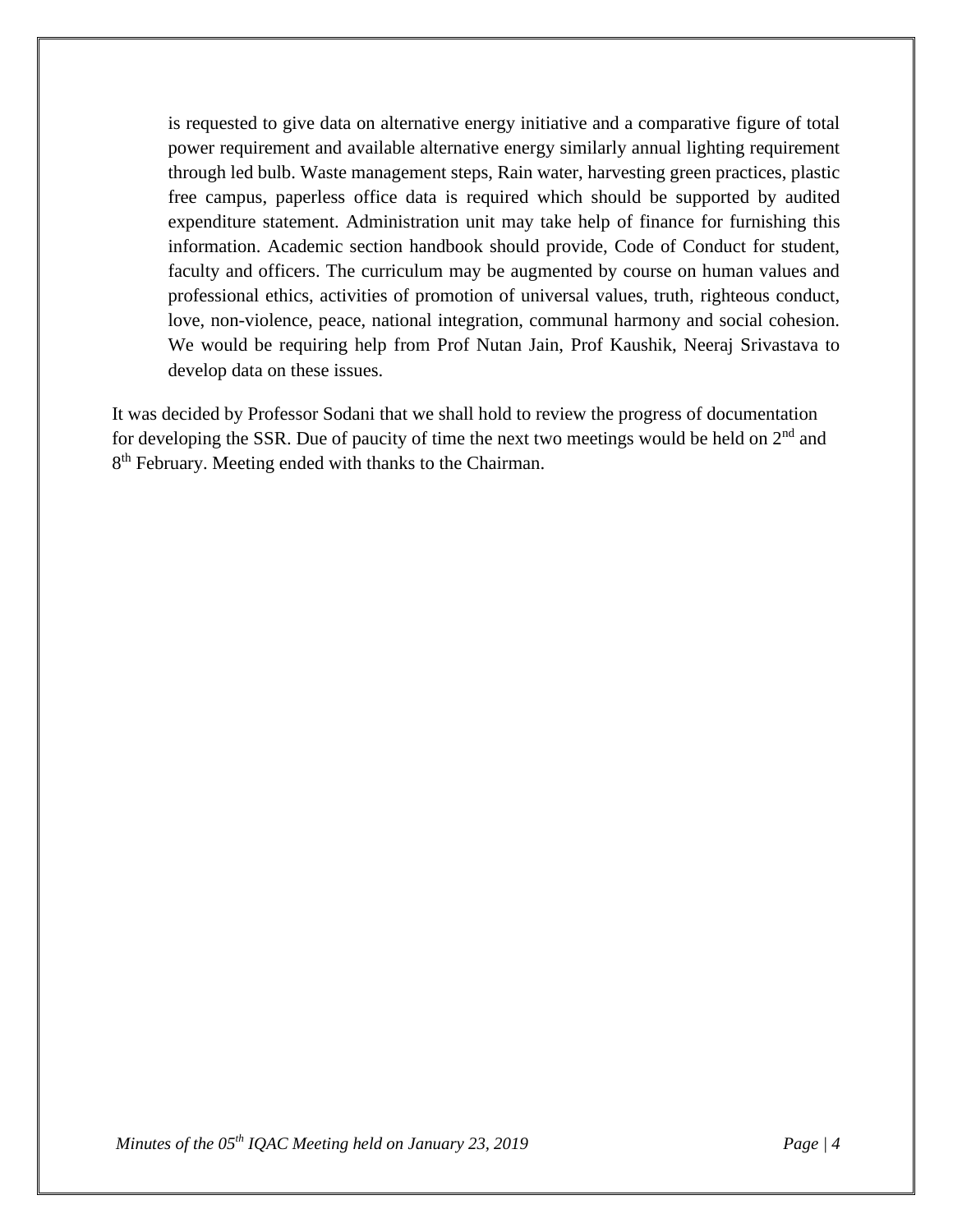is requested to give data on alternative energy initiative and a comparative figure of total power requirement and available alternative energy similarly annual lighting requirement through led bulb. Waste management steps, Rain water, harvesting green practices, plastic free campus, paperless office data is required which should be supported by audited expenditure statement. Administration unit may take help of finance for furnishing this information. Academic section handbook should provide, Code of Conduct for student, faculty and officers. The curriculum may be augmented by course on human values and professional ethics, activities of promotion of universal values, truth, righteous conduct, love, non-violence, peace, national integration, communal harmony and social cohesion. We would be requiring help from Prof Nutan Jain, Prof Kaushik, Neeraj Srivastava to develop data on these issues.

It was decided by Professor Sodani that we shall hold to review the progress of documentation for developing the SSR. Due of paucity of time the next two meetings would be held on  $2<sup>nd</sup>$  and 8<sup>th</sup> February. Meeting ended with thanks to the Chairman.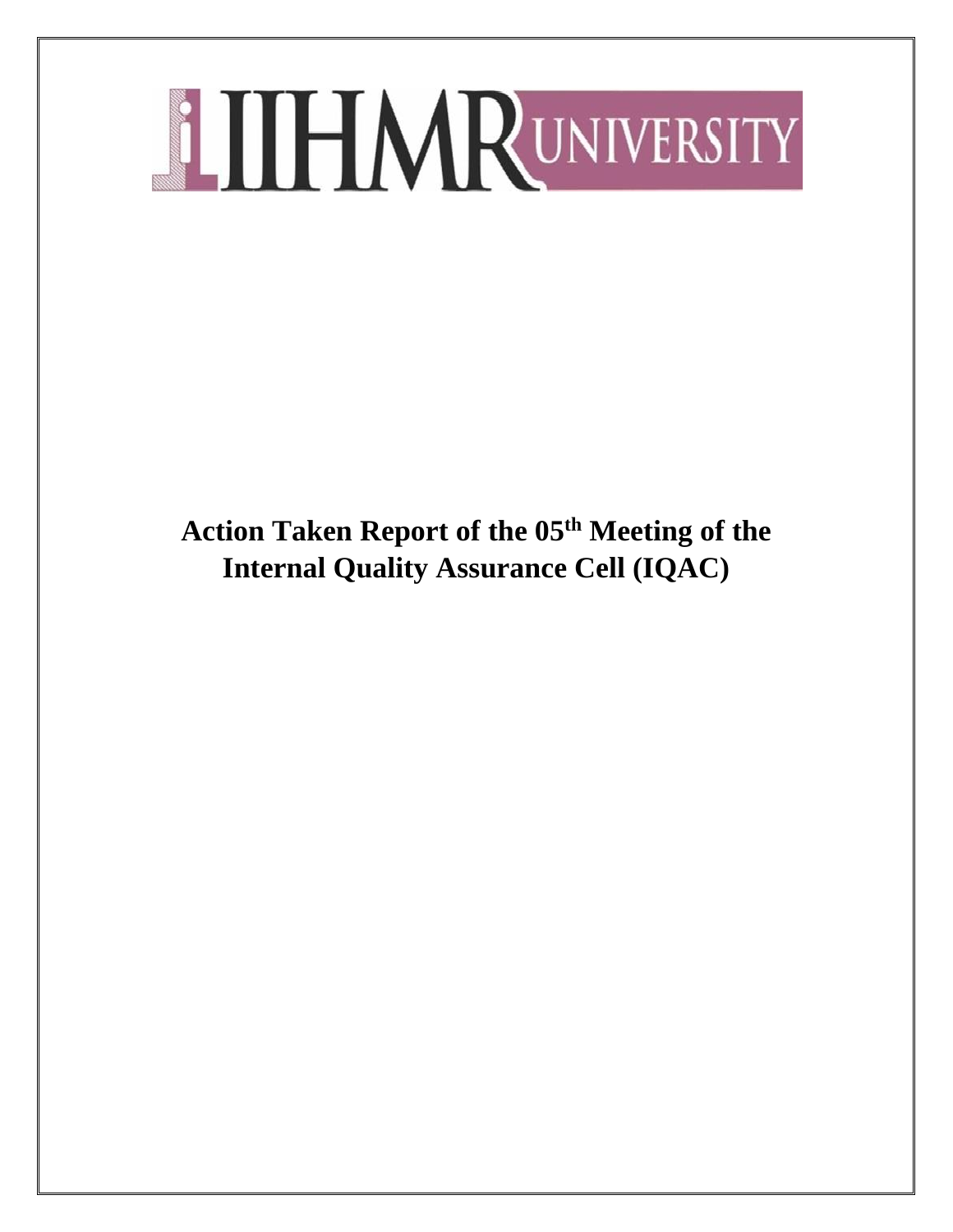**Action Taken Report of the 05 th Meeting of the Internal Quality Assurance Cell (IQAC)**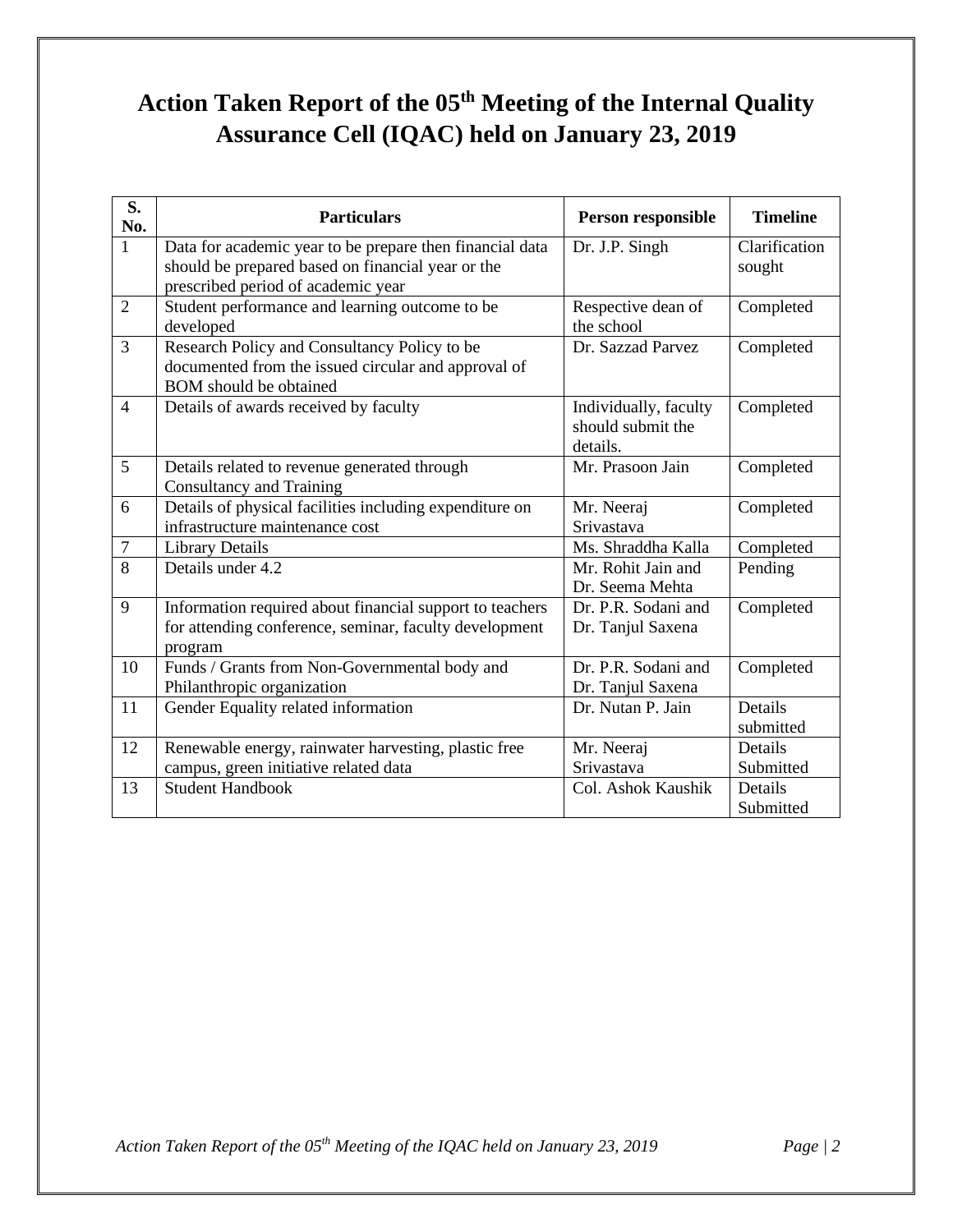# **Action Taken Report of the 05 th Meeting of the Internal Quality Assurance Cell (IQAC) held on January 23, 2019**

| S.<br>No.      | <b>Particulars</b>                                                                                                                                  | Person responsible                                     | <b>Timeline</b>         |
|----------------|-----------------------------------------------------------------------------------------------------------------------------------------------------|--------------------------------------------------------|-------------------------|
| $\mathbf{1}$   | Data for academic year to be prepare then financial data<br>should be prepared based on financial year or the<br>prescribed period of academic year | Dr. J.P. Singh                                         | Clarification<br>sought |
| $\overline{2}$ | Student performance and learning outcome to be<br>developed                                                                                         | Respective dean of<br>the school                       | Completed               |
| $\overline{3}$ | Research Policy and Consultancy Policy to be<br>documented from the issued circular and approval of<br><b>BOM</b> should be obtained                | Dr. Sazzad Parvez                                      | Completed               |
| $\overline{4}$ | Details of awards received by faculty                                                                                                               | Individually, faculty<br>should submit the<br>details. | Completed               |
| 5              | Details related to revenue generated through<br><b>Consultancy and Training</b>                                                                     | Mr. Prasoon Jain                                       | Completed               |
| 6              | Details of physical facilities including expenditure on<br>infrastructure maintenance cost                                                          | Mr. Neeraj<br>Srivastava                               | Completed               |
| $\overline{7}$ | <b>Library Details</b>                                                                                                                              | Ms. Shraddha Kalla                                     | Completed               |
| 8              | Details under 4.2                                                                                                                                   | Mr. Rohit Jain and<br>Dr. Seema Mehta                  | Pending                 |
| 9              | Information required about financial support to teachers<br>for attending conference, seminar, faculty development<br>program                       | Dr. P.R. Sodani and<br>Dr. Tanjul Saxena               | Completed               |
| 10             | Funds / Grants from Non-Governmental body and<br>Philanthropic organization                                                                         | Dr. P.R. Sodani and<br>Dr. Tanjul Saxena               | Completed               |
| 11             | Gender Equality related information                                                                                                                 | Dr. Nutan P. Jain                                      | Details<br>submitted    |
| 12             | Renewable energy, rainwater harvesting, plastic free<br>campus, green initiative related data                                                       | Mr. Neeraj<br>Srivastava                               | Details<br>Submitted    |
| 13             | <b>Student Handbook</b>                                                                                                                             | Col. Ashok Kaushik                                     | Details<br>Submitted    |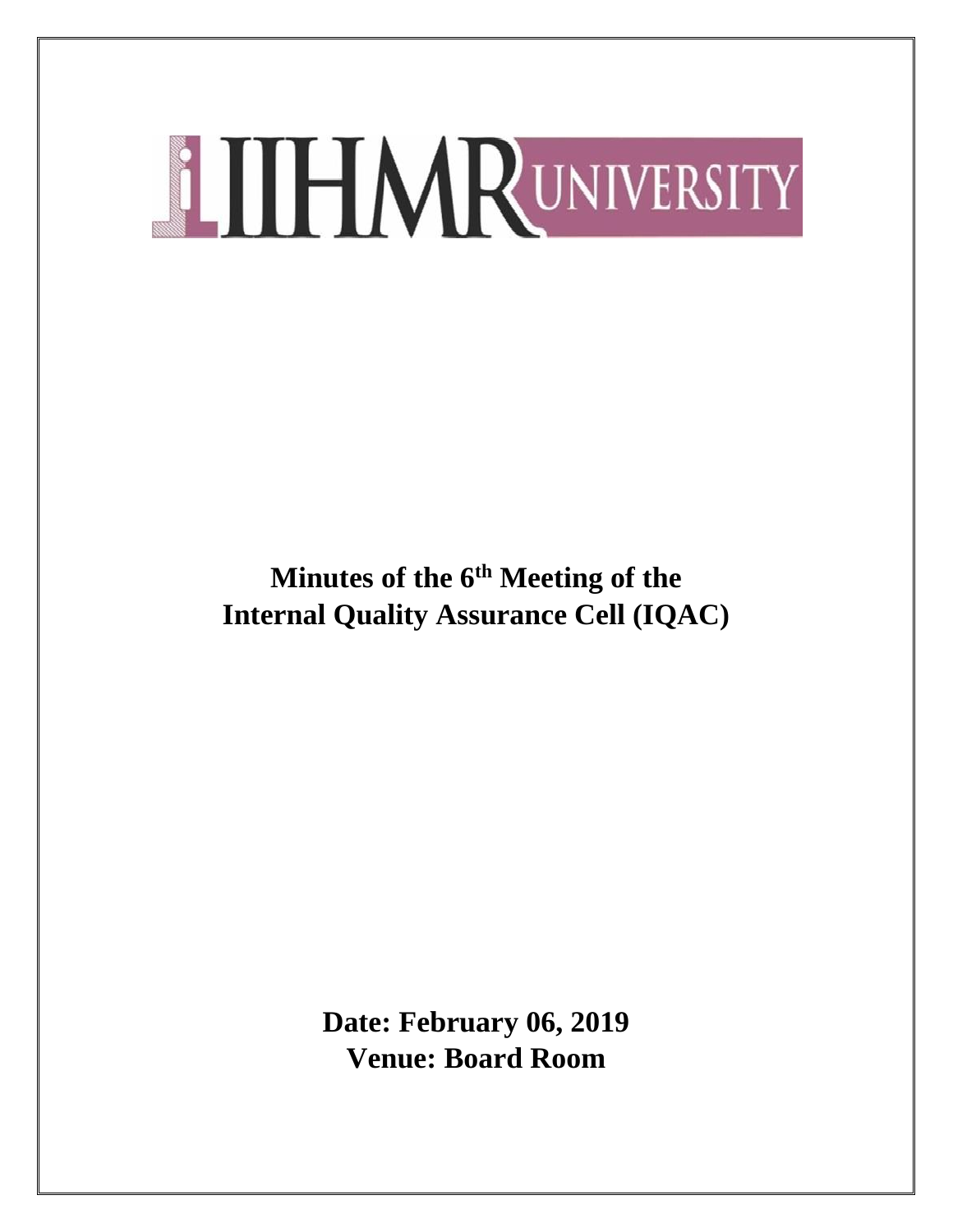**Minutes of the 6th Meeting of the Internal Quality Assurance Cell (IQAC)**

> **Date: February 06, 2019 Venue: Board Room**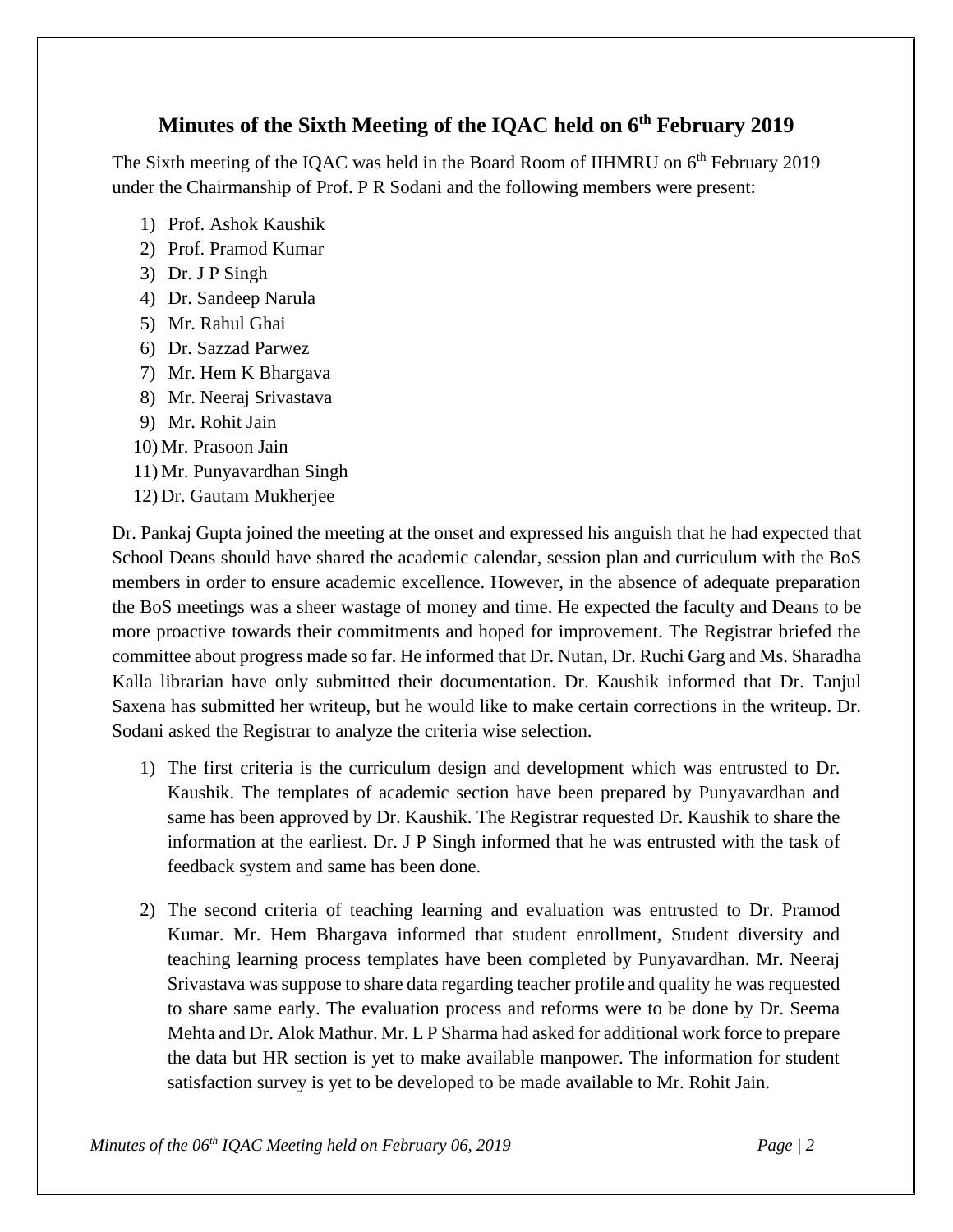# **Minutes of the Sixth Meeting of the IQAC held on 6th February 2019**

The Sixth meeting of the IQAC was held in the Board Room of IIHMRU on  $6<sup>th</sup>$  February 2019 under the Chairmanship of Prof. P R Sodani and the following members were present:

- 1) Prof. Ashok Kaushik
- 2) Prof. Pramod Kumar
- 3) Dr. J P Singh
- 4) Dr. Sandeep Narula
- 5) Mr. Rahul Ghai
- 6) Dr. Sazzad Parwez
- 7) Mr. Hem K Bhargava
- 8) Mr. Neeraj Srivastava
- 9) Mr. Rohit Jain
- 10) Mr. Prasoon Jain
- 11) Mr. Punyavardhan Singh
- 12) Dr. Gautam Mukherjee

Dr. Pankaj Gupta joined the meeting at the onset and expressed his anguish that he had expected that School Deans should have shared the academic calendar, session plan and curriculum with the BoS members in order to ensure academic excellence. However, in the absence of adequate preparation the BoS meetings was a sheer wastage of money and time. He expected the faculty and Deans to be more proactive towards their commitments and hoped for improvement. The Registrar briefed the committee about progress made so far. He informed that Dr. Nutan, Dr. Ruchi Garg and Ms. Sharadha Kalla librarian have only submitted their documentation. Dr. Kaushik informed that Dr. Tanjul Saxena has submitted her writeup, but he would like to make certain corrections in the writeup. Dr. Sodani asked the Registrar to analyze the criteria wise selection.

- 1) The first criteria is the curriculum design and development which was entrusted to Dr. Kaushik. The templates of academic section have been prepared by Punyavardhan and same has been approved by Dr. Kaushik. The Registrar requested Dr. Kaushik to share the information at the earliest. Dr. J P Singh informed that he was entrusted with the task of feedback system and same has been done.
- 2) The second criteria of teaching learning and evaluation was entrusted to Dr. Pramod Kumar. Mr. Hem Bhargava informed that student enrollment, Student diversity and teaching learning process templates have been completed by Punyavardhan. Mr. Neeraj Srivastava was suppose to share data regarding teacher profile and quality he was requested to share same early. The evaluation process and reforms were to be done by Dr. Seema Mehta and Dr. Alok Mathur. Mr. L P Sharma had asked for additional work force to prepare the data but HR section is yet to make available manpower. The information for student satisfaction survey is yet to be developed to be made available to Mr. Rohit Jain.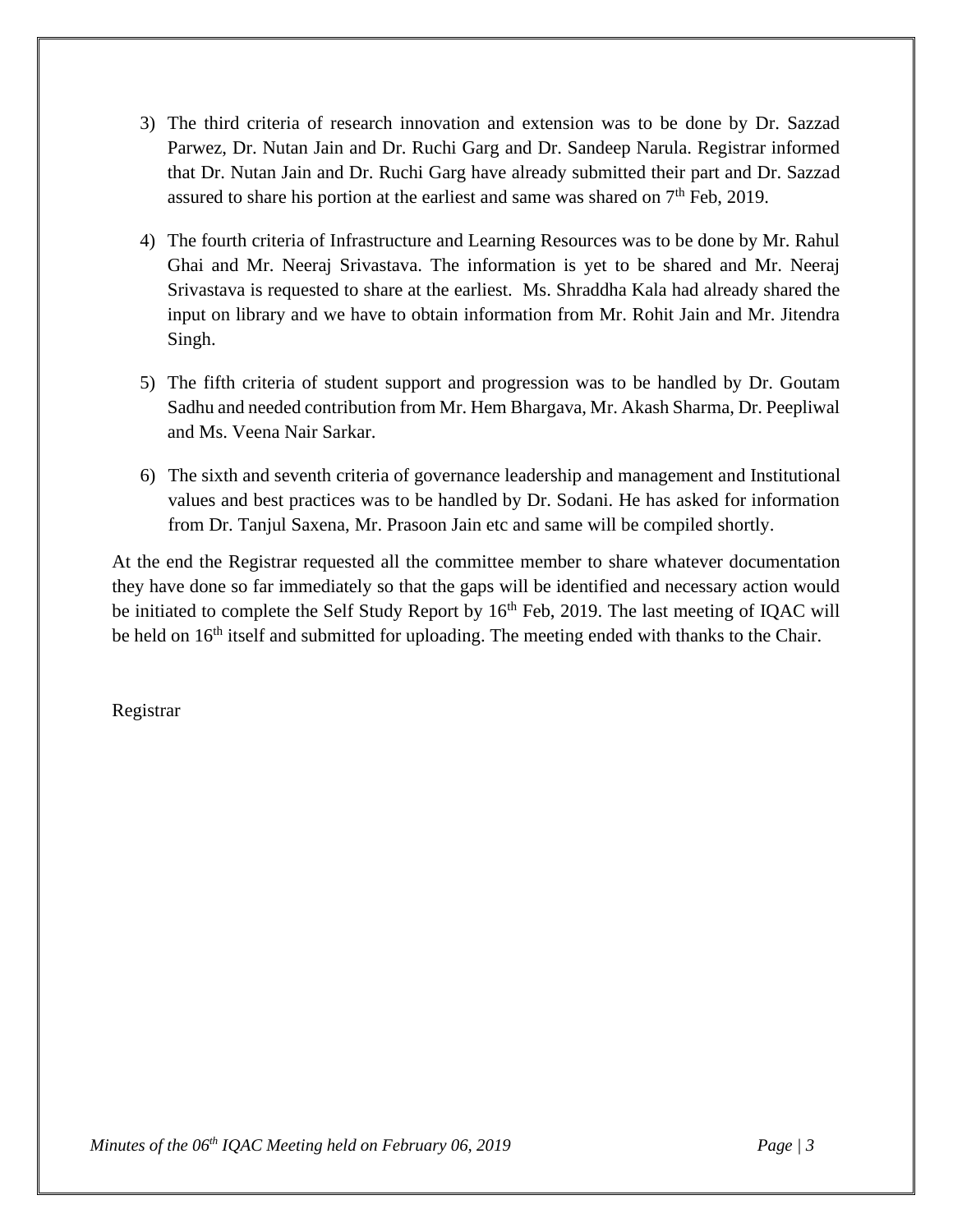- 3) The third criteria of research innovation and extension was to be done by Dr. Sazzad Parwez, Dr. Nutan Jain and Dr. Ruchi Garg and Dr. Sandeep Narula. Registrar informed that Dr. Nutan Jain and Dr. Ruchi Garg have already submitted their part and Dr. Sazzad assured to share his portion at the earliest and same was shared on  $7<sup>th</sup>$  Feb, 2019.
- 4) The fourth criteria of Infrastructure and Learning Resources was to be done by Mr. Rahul Ghai and Mr. Neeraj Srivastava. The information is yet to be shared and Mr. Neeraj Srivastava is requested to share at the earliest. Ms. Shraddha Kala had already shared the input on library and we have to obtain information from Mr. Rohit Jain and Mr. Jitendra Singh.
- 5) The fifth criteria of student support and progression was to be handled by Dr. Goutam Sadhu and needed contribution from Mr. Hem Bhargava, Mr. Akash Sharma, Dr. Peepliwal and Ms. Veena Nair Sarkar.
- 6) The sixth and seventh criteria of governance leadership and management and Institutional values and best practices was to be handled by Dr. Sodani. He has asked for information from Dr. Tanjul Saxena, Mr. Prasoon Jain etc and same will be compiled shortly.

At the end the Registrar requested all the committee member to share whatever documentation they have done so far immediately so that the gaps will be identified and necessary action would be initiated to complete the Self Study Report by 16<sup>th</sup> Feb, 2019. The last meeting of IOAC will be held on 16<sup>th</sup> itself and submitted for uploading. The meeting ended with thanks to the Chair.

Registrar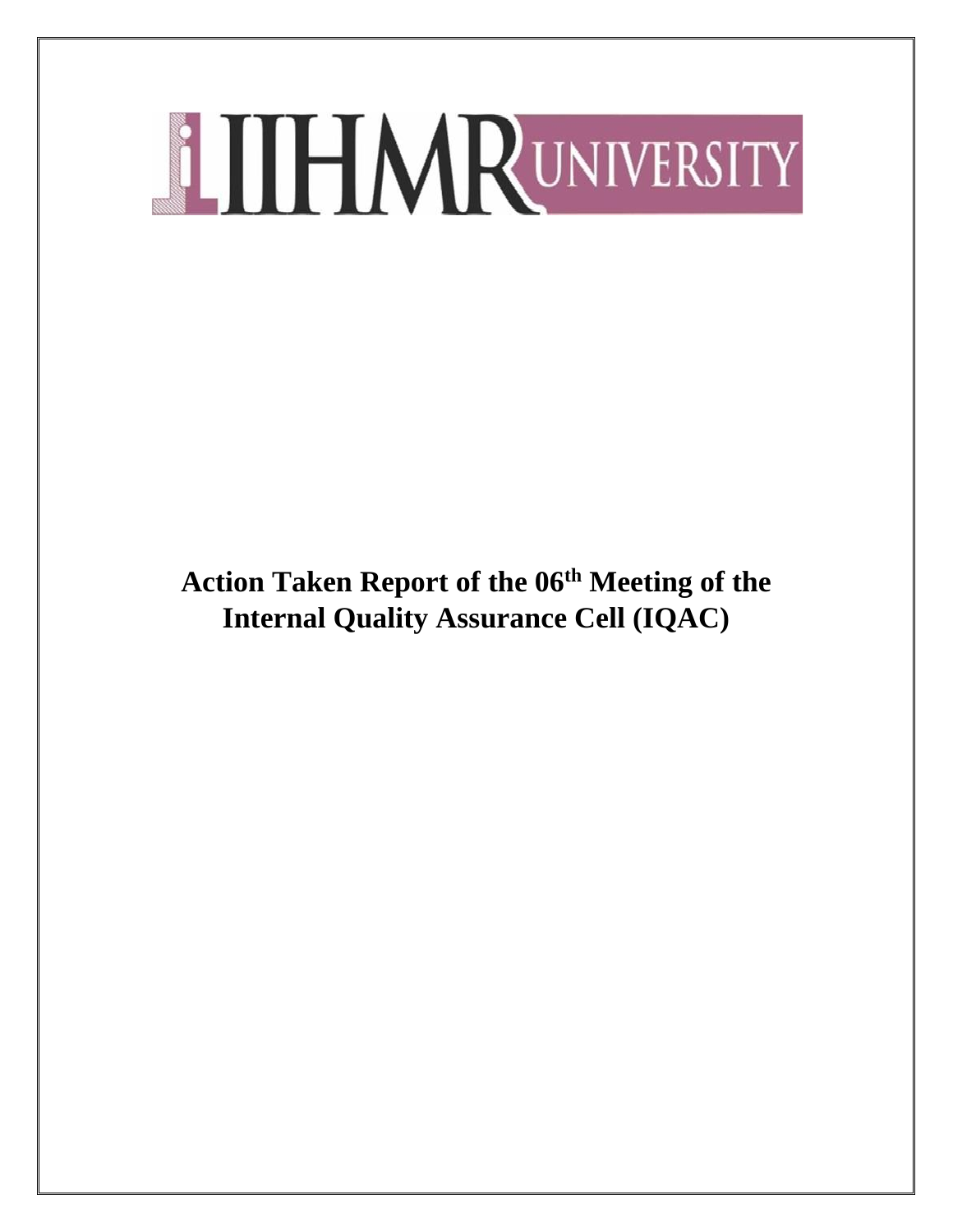**Action Taken Report of the 06th Meeting of the Internal Quality Assurance Cell (IQAC)**